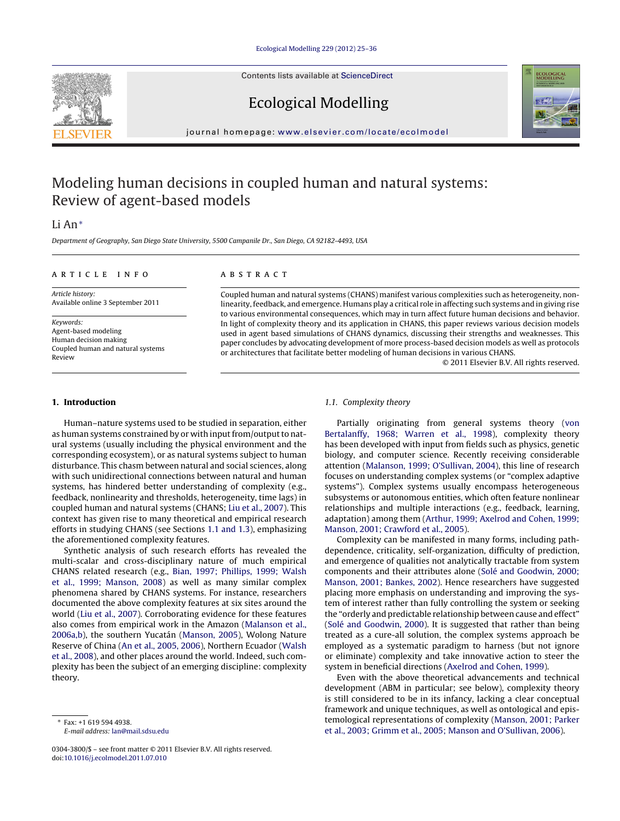Contents lists available at [ScienceDirect](http://www.sciencedirect.com/science/journal/03043800)

<span id="page-0-0"></span>



# Ecological Modelling

iournal homepage: [www.elsevier.com/locate/ecolmodel](http://www.elsevier.com/locate/ecolmodel)

# Modeling human decisions in coupled human and natural systems: Review of agent-based models

# Li An<sup>∗</sup>

Department of Geography, San Diego State University, 5500 Campanile Dr., San Diego, CA 92182-4493, USA

# ARTICLE INFO

Article history: Available online 3 September 2011

Keywords: Agent-based modeling Human decision making Coupled human and natural systems Review

# A B S T R A C T

Coupled human and natural systems (CHANS) manifest various complexities such as heterogeneity, nonlinearity, feedback, and emergence. Humans play a critical role in affecting such systems and in giving rise to various environmental consequences, which may in turn affect future human decisions and behavior. In light of complexity theory and its application in CHANS, this paper reviews various decision models used in agent based simulations of CHANS dynamics, discussing their strengths and weaknesses. This paper concludes by advocating development of more process-based decision models as well as protocols or architectures that facilitate better modeling of human decisions in various CHANS.

© 2011 Elsevier B.V. All rights reserved.

# **1. Introduction**

Human–nature systems used to be studied in separation, either as human systems constrained by or with input from/output to natural systems (usually including the physical environment and the corresponding ecosystem), or as natural systems subject to human disturbance. This chasm between natural and social sciences, along with such unidirectional connections between natural and human systems, has hindered better understanding of complexity (e.g., feedback, nonlinearity and thresholds, heterogeneity, time lags) in coupled human and natural systems (CHANS; [Liu](#page-10-0) et [al.,](#page-10-0) [2007\).](#page-10-0) This context has given rise to many theoretical and empirical research efforts in studying CHANS (see Sections 1.1 and 1.3), emphasizing the aforementioned complexity features.

Synthetic analysis of such research efforts has revealed the multi-scalar and cross-disciplinary nature of much empirical CHANS related research (e.g., [Bian,](#page-8-0) [1997;](#page-8-0) [Phillips,](#page-8-0) [1999;](#page-8-0) [Walsh](#page-8-0) et [al.,](#page-8-0) [1999;](#page-8-0) [Manson,](#page-8-0) [2008\)](#page-8-0) as well as many similar complex phenomena shared by CHANS systems. For instance, researchers documented the above complexity features at six sites around the world ([Liu](#page-10-0) et [al.,](#page-10-0) [2007\).](#page-10-0) Corroborating evidence for these features also comes from empirical work in the Amazon [\(Malanson](#page-10-0) et [al.,](#page-10-0) [2006a,b\),](#page-10-0) the southern Yucatán ([Manson,](#page-10-0) [2005\),](#page-10-0) Wolong Nature Reserve of China ([An](#page-8-0) et [al.,](#page-8-0) [2005,](#page-8-0) [2006\),](#page-8-0) Northern Ecuador [\(Walsh](#page-11-0) et [al.,](#page-11-0) [2008\),](#page-11-0) and other places around the world. Indeed, such complexity has been the subject of an emerging discipline: complexity theory.

# 1.1. Complexity theory

Partially originating from general systems theory ([von](#page-11-0) [Bertalanffy,](#page-11-0) [1968;](#page-11-0) [Warren](#page-11-0) et [al.,](#page-11-0) [1998\),](#page-11-0) complexity theory has been developed with input from fields such as physics, genetic biology, and computer science. Recently receiving considerable attention ([Malanson,](#page-10-0) [1999;](#page-10-0) [O'Sullivan,](#page-10-0) [2004\),](#page-10-0) this line of research focuses on understanding complex systems (or "complex adaptive systems"). Complex systems usually encompass heterogeneous subsystems or autonomous entities, which often feature nonlinear relationships and multiple interactions (e.g., feedback, learning, adaptation) among them ([Arthur,](#page-8-0) [1999;](#page-8-0) [Axelrod](#page-8-0) [and](#page-8-0) [Cohen,](#page-8-0) [1999;](#page-8-0) [Manson,](#page-8-0) [2001;](#page-8-0) [Crawford](#page-8-0) et [al.,](#page-8-0) [2005\).](#page-8-0)

Complexity can be manifested in many forms, including pathdependence, criticality, self-organization, difficulty of prediction, and emergence of qualities not analytically tractable from system components and their attributes alone ([Solé](#page-11-0) [and](#page-11-0) [Goodwin,](#page-11-0) [2000;](#page-11-0) [Manson,](#page-11-0) [2001;](#page-11-0) [Bankes,](#page-11-0) [2002\).](#page-11-0) Hence researchers have suggested placing more emphasis on understanding and improving the system of interest rather than fully controlling the system or seeking the "orderly and predictable relationship between cause and effect" [\(Solé](#page-11-0) [and](#page-11-0) [Goodwin,](#page-11-0) [2000\).](#page-11-0) It is suggested that rather than being treated as a cure-all solution, the complex systems approach be employed as a systematic paradigm to harness (but not ignore or eliminate) complexity and take innovative action to steer the system in beneficial directions [\(Axelrod](#page-8-0) [and](#page-8-0) [Cohen,](#page-8-0) [1999\).](#page-8-0)

Even with the above theoretical advancements and technical development (ABM in particular; see below), complexity theory is still considered to be in its infancy, lacking a clear conceptual framework and unique techniques, as well as ontological and epistemological representations of complexity ([Manson,](#page-10-0) [2001;](#page-10-0) [Parker](#page-10-0) et [al.,](#page-10-0) [2003;](#page-10-0) [Grimm](#page-10-0) et [al.,](#page-10-0) [2005;](#page-10-0) [Manson](#page-10-0) [and](#page-10-0) [O'Sullivan,](#page-10-0) [2006\).](#page-10-0)

<sup>∗</sup> Fax: +1 619 594 4938. E-mail address: [lan@mail.sdsu.edu](mailto:lan@mail.sdsu.edu)

<sup>0304-3800/\$</sup> – see front matter © 2011 Elsevier B.V. All rights reserved. doi:[10.1016/j.ecolmodel.2011.07.010](dx.doi.org/10.1016/j.ecolmodel.2011.07.010)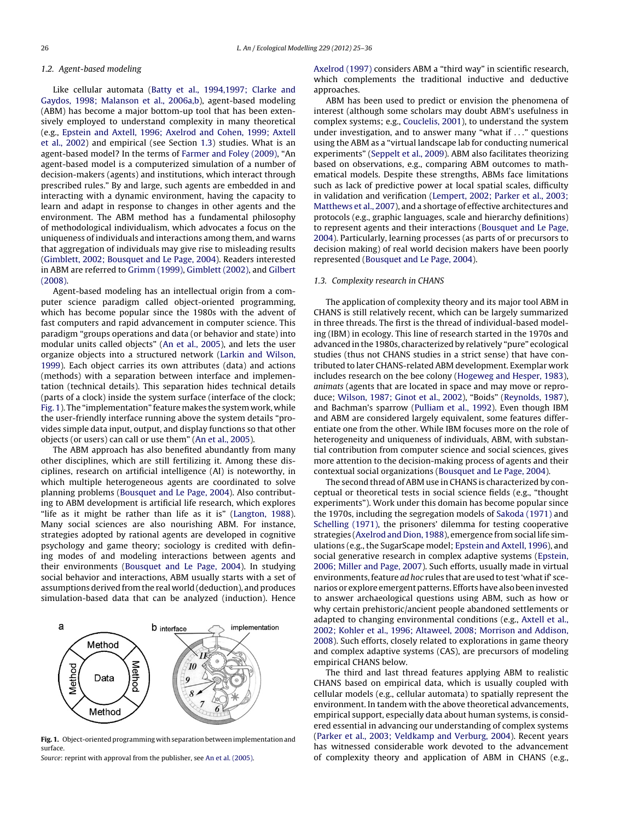#### <span id="page-1-0"></span>1.2. Agent-based modeling

Like cellular automata [\(Batty](#page-8-0) et [al.,](#page-8-0) [1994,1997;](#page-8-0) [Clarke](#page-8-0) [and](#page-8-0) [Gaydos,](#page-8-0) [1998;](#page-8-0) [Malanson](#page-8-0) et [al.,](#page-8-0) [2006a,b\),](#page-8-0) agent-based modeling (ABM) has become a major bottom-up tool that has been extensively employed to understand complexity in many theoretical (e.g., [Epstein](#page-9-0) [and](#page-9-0) [Axtell,](#page-9-0) [1996;](#page-9-0) [Axelrod](#page-9-0) [and](#page-9-0) [Cohen,](#page-9-0) [1999;](#page-9-0) [Axtell](#page-9-0) et [al.,](#page-9-0) [2002\)](#page-9-0) and empirical (see Section 1.3) studies. What is an agent-based model? In the terms of [Farmer](#page-9-0) [and](#page-9-0) [Foley](#page-9-0) [\(2009\),](#page-9-0) "An agent-based model is a computerized simulation of a number of decision-makers (agents) and institutions, which interact through prescribed rules." By and large, such agents are embedded in and interacting with a dynamic environment, having the capacity to learn and adapt in response to changes in other agents and the environment. The ABM method has a fundamental philosophy of methodological individualism, which advocates a focus on the uniqueness of individuals and interactions among them, and warns that aggregation of individuals may give rise to misleading results ([Gimblett,](#page-9-0) [2002;](#page-9-0) [Bousquet](#page-9-0) [and](#page-9-0) [Le](#page-9-0) [Page,](#page-9-0) [2004\).](#page-9-0) Readers interested in ABM are referred to [Grimm](#page-9-0) [\(1999\),](#page-9-0) [Gimblett](#page-9-0) [\(2002\),](#page-9-0) and [Gilbert](#page-9-0) [\(2008\).](#page-9-0)

Agent-based modeling has an intellectual origin from a computer science paradigm called object-oriented programming, which has become popular since the 1980s with the advent of fast computers and rapid advancement in computer science. This paradigm "groups operations and data (or behavior and state) into modular units called objects" [\(An](#page-8-0) et [al.,](#page-8-0) [2005\),](#page-8-0) and lets the user organize objects into a structured network ([Larkin](#page-9-0) [and](#page-9-0) [Wilson,](#page-9-0) [1999\).](#page-9-0) Each object carries its own attributes (data) and actions (methods) with a separation between interface and implementation (technical details). This separation hides technical details (parts of a clock) inside the system surface (interface of the clock; Fig. 1). The "implementation" feature makes the system work, while the user-friendly interface running above the system details "provides simple data input, output, and display functions so that other objects (or users) can call or use them" [\(An](#page-8-0) et [al.,](#page-8-0) [2005\).](#page-8-0)

The ABM approach has also benefited abundantly from many other disciplines, which are still fertilizing it. Among these disciplines, research on artificial intelligence (AI) is noteworthy, in which multiple heterogeneous agents are coordinated to solve planning problems [\(Bousquet](#page-8-0) [and](#page-8-0) [Le](#page-8-0) [Page,](#page-8-0) [2004\).](#page-8-0) Also contributing to ABM development is artificial life research, which explores "life as it might be rather than life as it is" [\(Langton,](#page-9-0) [1988\).](#page-9-0) Many social sciences are also nourishing ABM. For instance, strategies adopted by rational agents are developed in cognitive psychology and game theory; sociology is credited with defining modes of and modeling interactions between agents and their environments [\(Bousquet](#page-8-0) [and](#page-8-0) [Le](#page-8-0) [Page,](#page-8-0) [2004\).](#page-8-0) In studying social behavior and interactions, ABM usually starts with a set of assumptions derived from the real world (deduction), and produces simulation-based data that can be analyzed (induction). Hence



**Fig. 1.** Object-oriented programming with separation between implementation and surface.

Source: reprint with approval from the publisher, see [An](#page-8-0) [et](#page-8-0) [al.](#page-8-0) [\(2005\).](#page-8-0)

[Axelrod](#page-8-0) [\(1997\)](#page-8-0) considers ABM a "third way" in scientific research, which complements the traditional inductive and deductive approaches.

ABM has been used to predict or envision the phenomena of interest (although some scholars may doubt ABM's usefulness in complex systems; e.g., [Couclelis,](#page-9-0) [2001\),](#page-9-0) to understand the system under investigation, and to answer many "what if . . ." questions using the ABM as a "virtual landscape lab for conducting numerical experiments" [\(Seppelt](#page-11-0) et [al.,](#page-11-0) [2009\).](#page-11-0) ABM also facilitates theorizing based on observations, e.g., comparing ABM outcomes to mathematical models. Despite these strengths, ABMs face limitations such as lack of predictive power at local spatial scales, difficulty in validation and verification ([Lempert,](#page-10-0) [2002;](#page-10-0) [Parker](#page-10-0) et [al.,](#page-10-0) [2003;](#page-10-0) [Matthews](#page-10-0) et [al.,](#page-10-0) [2007\),](#page-10-0) and a shortage of effective architectures and protocols (e.g., graphic languages, scale and hierarchy definitions) to represent agents and their interactions [\(Bousquet](#page-8-0) [and](#page-8-0) [Le](#page-8-0) [Page,](#page-8-0) [2004\).](#page-8-0) Particularly, learning processes (as parts of or precursors to decision making) of real world decision makers have been poorly represented [\(Bousquet](#page-8-0) [and](#page-8-0) [Le](#page-8-0) [Page,](#page-8-0) [2004\).](#page-8-0)

# 1.3. Complexity research in CHANS

The application of complexity theory and its major tool ABM in CHANS is still relatively recent, which can be largely summarized in three threads. The first is the thread of individual-based modeling (IBM) in ecology. This line of research started in the 1970s and advanced in the 1980s, characterized by relatively "pure" ecological studies (thus not CHANS studies in a strict sense) that have contributed to later CHANS-related ABM development. Exemplar work includes research on the bee colony [\(Hogeweg](#page-9-0) [and](#page-9-0) [Hesper,](#page-9-0) [1983\),](#page-9-0) animats (agents that are located in space and may move or reproduce; [Wilson,](#page-11-0) [1987;](#page-11-0) [Ginot](#page-11-0) et [al.,](#page-11-0) [2002\),](#page-11-0) "Boids" [\(Reynolds,](#page-10-0) [1987\),](#page-10-0) and Bachman's sparrow ([Pulliam](#page-10-0) et [al.,](#page-10-0) [1992\).](#page-10-0) Even though IBM and ABM are considered largely equivalent, some features differentiate one from the other. While IBM focuses more on the role of heterogeneity and uniqueness of individuals, ABM, with substantial contribution from computer science and social sciences, gives more attention to the decision-making process of agents and their contextual social organizations ([Bousquet](#page-8-0) [and](#page-8-0) [Le](#page-8-0) [Page,](#page-8-0) [2004\).](#page-8-0)

The second thread of ABM use in CHANS is characterized by conceptual or theoretical tests in social science fields (e.g., "thought experiments"). Work under this domain has become popular since the 1970s, including the segregation models of [Sakoda](#page-10-0) [\(1971\)](#page-10-0) and [Schelling](#page-10-0) [\(1971\),](#page-10-0) the prisoners' dilemma for testing cooperative strategies ([Axelrod](#page-8-0) [and](#page-8-0) [Dion,](#page-8-0) [1988\),](#page-8-0) emergence fromsocial life simulations (e.g., the SugarScape model; [Epstein](#page-9-0) [and](#page-9-0) [Axtell,](#page-9-0) [1996\),](#page-9-0) and social generative research in complex adaptive systems ([Epstein,](#page-9-0) [2006;](#page-9-0) [Miller](#page-9-0) [and](#page-9-0) [Page,](#page-9-0) [2007\).](#page-9-0) Such efforts, usually made in virtual environments, feature ad hoc rules that are used to test 'what if' scenarios or explore emergent patterns. Efforts have also been invested to answer archaeological questions using ABM, such as how or why certain prehistoric/ancient people abandoned settlements or adapted to changing environmental conditions (e.g., [Axtell](#page-8-0) et [al.,](#page-8-0) [2002;](#page-8-0) [Kohler](#page-8-0) et [al.,](#page-8-0) [1996;](#page-8-0) [Altaweel,](#page-8-0) [2008;](#page-8-0) [Morrison](#page-8-0) [and](#page-8-0) [Addison,](#page-8-0) [2008\).](#page-8-0) Such efforts, closely related to explorations in game theory and complex adaptive systems (CAS), are precursors of modeling empirical CHANS below.

The third and last thread features applying ABM to realistic CHANS based on empirical data, which is usually coupled with cellular models (e.g., cellular automata) to spatially represent the environment. In tandem with the above theoretical advancements, empirical support, especially data about human systems, is considered essential in advancing our understanding of complex systems [\(Parker](#page-10-0) et [al.,](#page-10-0) [2003;](#page-10-0) [Veldkamp](#page-10-0) [and](#page-10-0) [Verburg,](#page-10-0) [2004\).](#page-10-0) Recent years has witnessed considerable work devoted to the advancement of complexity theory and application of ABM in CHANS (e.g.,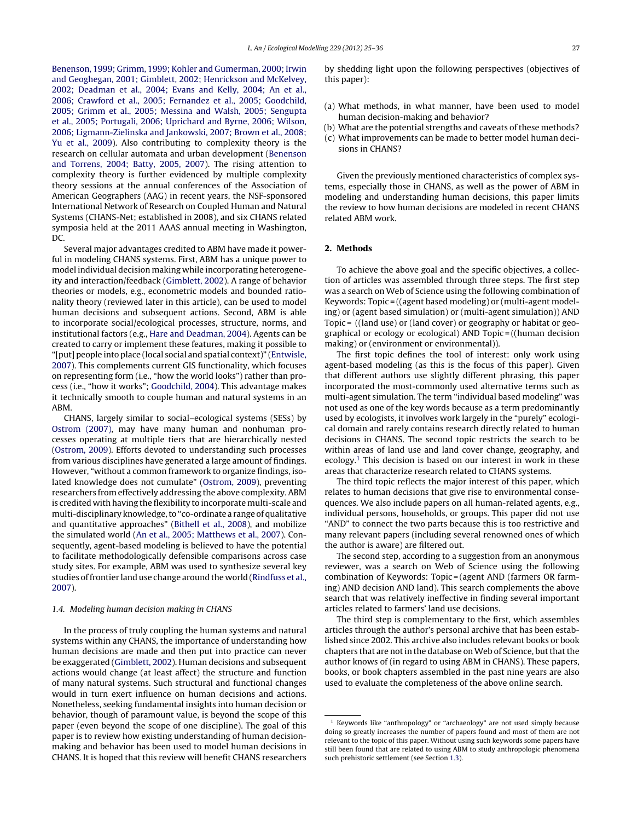<span id="page-2-0"></span>[Benenson,](#page-8-0) [1999;](#page-8-0) [Grimm,](#page-8-0) [1999;](#page-8-0) [Kohler](#page-8-0) [and](#page-8-0) [Gumerman,](#page-8-0) [2000;](#page-8-0) [Irwin](#page-8-0) [and](#page-8-0) [Geoghegan,](#page-8-0) [2001;](#page-8-0) [Gimblett,](#page-8-0) [2002;](#page-8-0) [Henrickson](#page-8-0) [and](#page-8-0) [McKelvey,](#page-8-0) [2002;](#page-8-0) [Deadman](#page-8-0) et [al.,](#page-8-0) [2004;](#page-8-0) [Evans](#page-8-0) [and](#page-8-0) [Kelly,](#page-8-0) [2004;](#page-8-0) [An](#page-8-0) et [al.,](#page-8-0) [2006;](#page-8-0) [Crawford](#page-8-0) et [al.,](#page-8-0) [2005;](#page-8-0) [Fernandez](#page-8-0) et [al.,](#page-8-0) [2005;](#page-8-0) [Goodchild,](#page-8-0) [2005;](#page-8-0) [Grimm](#page-8-0) et [al.,](#page-8-0) [2005;](#page-8-0) [Messina](#page-8-0) [and](#page-8-0) [Walsh,](#page-8-0) [2005;](#page-8-0) [Sengupta](#page-8-0) et [al.,](#page-8-0) [2005;](#page-8-0) [Portugali,](#page-8-0) [2006;](#page-8-0) [Uprichard](#page-8-0) [and](#page-8-0) [Byrne,](#page-8-0) [2006;](#page-8-0) [Wilson,](#page-8-0) [2006;](#page-8-0) [Ligmann-Zielinska](#page-8-0) [and](#page-8-0) [Jankowski,](#page-8-0) [2007;](#page-8-0) [Brown](#page-8-0) et [al.,](#page-8-0) [2008;](#page-8-0) [Yu](#page-8-0) et [al.,](#page-8-0) [2009\).](#page-8-0) Also contributing to complexity theory is the research on cellular automata and urban development [\(Benenson](#page-8-0) [and](#page-8-0) [Torrens,](#page-8-0) [2004;](#page-8-0) [Batty,](#page-8-0) [2005,](#page-8-0) [2007\).](#page-8-0) The rising attention to complexity theory is further evidenced by multiple complexity theory sessions at the annual conferences of the Association of American Geographers (AAG) in recent years, the NSF-sponsored International Network of Research on Coupled Human and Natural Systems (CHANS-Net; established in 2008), and six CHANS related symposia held at the 2011 AAAS annual meeting in Washington, DC.

Several major advantages credited to ABM have made it powerful in modeling CHANS systems. First, ABM has a unique power to model individual decision making while incorporating heterogeneity and interaction/feedback ([Gimblett,](#page-9-0) [2002\).](#page-9-0) A range of behavior theories or models, e.g., econometric models and bounded rationality theory (reviewed later in this article), can be used to model human decisions and subsequent actions. Second, ABM is able to incorporate social/ecological processes, structure, norms, and institutional factors (e.g., [Hare](#page-9-0) [and](#page-9-0) [Deadman,](#page-9-0) [2004\).](#page-9-0) Agents can be created to carry or implement these features, making it possible to "[put] people into place (local social and spatial context)" [\(Entwisle,](#page-9-0) [2007\).](#page-9-0) This complements current GIS functionality, which focuses on representing form (i.e., "how the world looks") rather than process (i.e., "how it works"; [Goodchild,](#page-9-0) [2004\).](#page-9-0) This advantage makes it technically smooth to couple human and natural systems in an ABM.

CHANS, largely similar to social–ecological systems (SESs) by [Ostrom](#page-10-0) [\(2007\),](#page-10-0) may have many human and nonhuman processes operating at multiple tiers that are hierarchically nested ([Ostrom,](#page-10-0) [2009\).](#page-10-0) Efforts devoted to understanding such processes from various disciplines have generated a large amount of findings. However, "without a common framework to organize findings, isolated knowledge does not cumulate" ([Ostrom,](#page-10-0) [2009\),](#page-10-0) preventing researchers from effectively addressing the above complexity. ABM is credited with having the flexibility to incorporate multi-scale and multi-disciplinary knowledge,to "co-ordinate a range of qualitative and quantitative approaches" ([Bithell](#page-8-0) et [al.,](#page-8-0) [2008\),](#page-8-0) and mobilize the simulated world ([An](#page-8-0) et [al.,](#page-8-0) [2005;](#page-8-0) [Matthews](#page-8-0) et [al.,](#page-8-0) [2007\).](#page-8-0) Consequently, agent-based modeling is believed to have the potential to facilitate methodologically defensible comparisons across case study sites. For example, ABM was used to synthesize several key studies offrontier land use change around the world ([Rindfuss](#page-10-0) et [al.,](#page-10-0) [2007\).](#page-10-0)

#### 1.4. Modeling human decision making in CHANS

In the process of truly coupling the human systems and natural systems within any CHANS, the importance of understanding how human decisions are made and then put into practice can never be exaggerated ([Gimblett,](#page-9-0) [2002\).](#page-9-0) Human decisions and subsequent actions would change (at least affect) the structure and function of many natural systems. Such structural and functional changes would in turn exert influence on human decisions and actions. Nonetheless, seeking fundamental insights into human decision or behavior, though of paramount value, is beyond the scope of this paper (even beyond the scope of one discipline). The goal of this paper is to review how existing understanding of human decisionmaking and behavior has been used to model human decisions in CHANS. It is hoped that this review will benefit CHANS researchers

by shedding light upon the following perspectives (objectives of this paper):

- (a) What methods, in what manner, have been used to model human decision-making and behavior?
- (b) What are the potential strengths and caveats of these methods?
- (c) What improvements can be made to better model human decisions in CHANS?

Given the previously mentioned characteristics of complex systems, especially those in CHANS, as well as the power of ABM in modeling and understanding human decisions, this paper limits the review to how human decisions are modeled in recent CHANS related ABM work.

## **2. Methods**

To achieve the above goal and the specific objectives, a collection of articles was assembled through three steps. The first step was a search on Web of Science using the following combination of Keywords: Topic = ((agent based modeling) or (multi-agent modeling) or (agent based simulation) or (multi-agent simulation)) AND Topic = ((land use) or (land cover) or geography or habitat or geographical or ecology or ecological) AND Topic = ((human decision making) or (environment or environmental)).

The first topic defines the tool of interest: only work using agent-based modeling (as this is the focus of this paper). Given that different authors use slightly different phrasing, this paper incorporated the most-commonly used alternative terms such as multi-agent simulation. The term "individual based modeling" was not used as one of the key words because as a term predominantly used by ecologists, it involves work largely in the "purely" ecological domain and rarely contains research directly related to human decisions in CHANS. The second topic restricts the search to be within areas of land use and land cover change, geography, and ecology.<sup>1</sup> This decision is based on our interest in work in these areas that characterize research related to CHANS systems.

The third topic reflects the major interest of this paper, which relates to human decisions that give rise to environmental consequences. We also include papers on all human-related agents, e.g., individual persons, households, or groups. This paper did not use "AND" to connect the two parts because this is too restrictive and many relevant papers (including several renowned ones of which the author is aware) are filtered out.

The second step, according to a suggestion from an anonymous reviewer, was a search on Web of Science using the following combination of Keywords: Topic = (agent AND (farmers OR farming) AND decision AND land). This search complements the above search that was relatively ineffective in finding several important articles related to farmers' land use decisions.

The third step is complementary to the first, which assembles articles through the author's personal archive that has been established since 2002. This archive also includes relevant books or book chapters that are not in the database on Web of Science, but that the author knows of (in regard to using ABM in CHANS). These papers, books, or book chapters assembled in the past nine years are also used to evaluate the completeness of the above online search.

<sup>1</sup> Keywords like "anthropology" or "archaeology" are not used simply because doing so greatly increases the number of papers found and most of them are not relevant to the topic of this paper. Without using such keywords some papers have still been found that are related to using ABM to study anthropologic phenomena such prehistoric settlement (see Section [1.3\).](#page-1-0)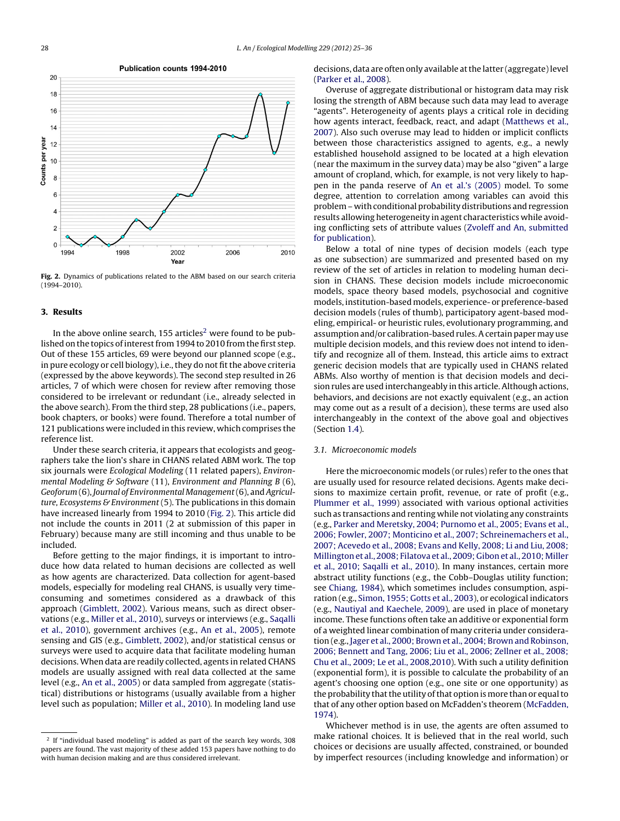

**Fig. 2.** Dynamics of publications related to the ABM based on our search criteria (1994–2010).

#### **3. Results**

In the above online search,  $155$  articles<sup>2</sup> were found to be published on the topics of interest from 1994 to 2010 from the first step. Out of these 155 articles, 69 were beyond our planned scope (e.g., in pure ecology or cell biology), i.e., they do not fit the above criteria (expressed by the above keywords). The second step resulted in 26 articles, 7 of which were chosen for review after removing those considered to be irrelevant or redundant (i.e., already selected in the above search). From the third step, 28 publications (i.e., papers, book chapters, or books) were found. Therefore a total number of 121 publications were included in this review, which comprises the reference list.

Under these search criteria, it appears that ecologists and geographers take the lion's share in CHANS related ABM work. The top six journals were Ecological Modeling (11 related papers), Environmental Modeling & Software (11), Environment and Planning B  $(6)$ , Geoforum (6), Journal of Environmental Management(6), and Agriculture, Ecosystems & Environment  $(5)$ . The publications in this domain have increased linearly from 1994 to 2010 (Fig. 2). This article did not include the counts in 2011 (2 at submission of this paper in February) because many are still incoming and thus unable to be included.

Before getting to the major findings, it is important to introduce how data related to human decisions are collected as well as how agents are characterized. Data collection for agent-based models, especially for modeling real CHANS, is usually very timeconsuming and sometimes considered as a drawback of this approach ([Gimblett,](#page-9-0) [2002\).](#page-9-0) Various means, such as direct observations (e.g., [Miller](#page-10-0) et [al.,](#page-10-0) [2010\),](#page-10-0) surveys or interviews (e.g., [Saqalli](#page-10-0) et [al.,](#page-10-0) [2010\),](#page-10-0) government archives (e.g., [An](#page-8-0) et [al.,](#page-8-0) [2005\),](#page-8-0) remote sensing and GIS (e.g., [Gimblett,](#page-9-0) [2002\),](#page-9-0) and/or statistical census or surveys were used to acquire data that facilitate modeling human decisions. When data are readily collected, agents in related CHANS models are usually assigned with real data collected at the same level (e.g., [An](#page-8-0) et [al.,](#page-8-0) [2005\)](#page-8-0) or data sampled from aggregate (statistical) distributions or histograms (usually available from a higher level such as population; [Miller](#page-10-0) et [al.,](#page-10-0) [2010\).](#page-10-0) In modeling land use decisions, data are often only available atthe latter (aggregate)level [\(Parker](#page-10-0) et [al.,](#page-10-0) [2008\).](#page-10-0)

Overuse of aggregate distributional or histogram data may risk losing the strength of ABM because such data may lead to average "agents". Heterogeneity of agents plays a critical role in deciding how agents interact, feedback, react, and adapt ([Matthews](#page-10-0) et [al.,](#page-10-0) [2007\).](#page-10-0) Also such overuse may lead to hidden or implicit conflicts between those characteristics assigned to agents, e.g., a newly established household assigned to be located at a high elevation (near the maximum in the survey data) may be also "given" a large amount of cropland, which, for example, is not very likely to happen in the panda reserve of [An](#page-8-0) et [al.'s](#page-8-0) [\(2005\)](#page-8-0) model. To some degree, attention to correlation among variables can avoid this problem – with conditional probability distributions and regression results allowing heterogeneity in agent characteristics while avoiding conflicting sets of attribute values ([Zvoleff](#page-11-0) [and](#page-11-0) [An,](#page-11-0) [submitted](#page-11-0) [for](#page-11-0) [publication\).](#page-11-0)

Below a total of nine types of decision models (each type as one subsection) are summarized and presented based on my review of the set of articles in relation to modeling human decision in CHANS. These decision models include microeconomic models, space theory based models, psychosocial and cognitive models, institution-based models, experience- or preference-based decision models (rules of thumb), participatory agent-based modeling, empirical- or heuristic rules, evolutionary programming, and assumption and/or calibration-based rules.Acertain paper may use multiple decision models, and this review does not intend to identify and recognize all of them. Instead, this article aims to extract generic decision models that are typically used in CHANS related ABMs. Also worthy of mention is that decision models and decision rules are used interchangeably in this article. Although actions, behaviors, and decisions are not exactly equivalent (e.g., an action may come out as a result of a decision), these terms are used also interchangeably in the context of the above goal and objectives (Section [1.4\).](#page-2-0)

#### 3.1. Microeconomic models

Here the microeconomic models (or rules) refer to the ones that are usually used for resource related decisions. Agents make decisions to maximize certain profit, revenue, or rate of profit (e.g., [Plummer](#page-10-0) et [al.,](#page-10-0) [1999\)](#page-10-0) associated with various optional activities such as transactions and renting while not violating any constraints (e.g., [Parker](#page-10-0) [and](#page-10-0) [Meretsky,](#page-10-0) [2004;](#page-10-0) [Purnomo](#page-10-0) et [al.,](#page-10-0) [2005;](#page-10-0) [Evans](#page-10-0) et [al.,](#page-10-0) [2006;](#page-10-0) [Fowler,](#page-10-0) [2007;](#page-10-0) [Monticino](#page-10-0) et [al.,](#page-10-0) [2007;](#page-10-0) [Schreinemachers](#page-10-0) et [al.,](#page-10-0) [2007;](#page-10-0) [Acevedo](#page-10-0) et [al.,](#page-10-0) [2008;](#page-10-0) [Evans](#page-10-0) [and](#page-10-0) [Kelly,](#page-10-0) [2008;](#page-10-0) [Li](#page-10-0) [and](#page-10-0) [Liu,](#page-10-0) [2008;](#page-10-0) [Millington](#page-10-0) et [al.,](#page-10-0) [2008;](#page-10-0) [Filatova](#page-10-0) et al., [2009;](#page-10-0) [Gibon](#page-10-0) et al., 2010; Miller et [al.,](#page-10-0) [2010;](#page-10-0) [Saqalli](#page-10-0) [et](#page-10-0) [al.,](#page-10-0) [2010\).](#page-10-0) In many instances, certain more abstract utility functions (e.g., the Cobb–Douglas utility function; see [Chiang,](#page-8-0) [1984\),](#page-8-0) which sometimes includes consumption, aspiration (e.g., [Simon,](#page-11-0) [1955;](#page-11-0) [Gotts](#page-11-0) et [al.,](#page-11-0) [2003\),](#page-11-0) or ecological indicators (e.g., [Nautiyal](#page-10-0) [and](#page-10-0) [Kaechele,](#page-10-0) [2009\),](#page-10-0) are used in place of monetary income. These functions often take an additive or exponential form of a weighted linear combination of many criteria under consideration (e.g., [Jager](#page-9-0) et [al.,](#page-9-0) [2000;](#page-9-0) [Brown](#page-9-0) et [al.,](#page-9-0) [2004;](#page-9-0) [Brown](#page-9-0) [and](#page-9-0) [Robinson,](#page-9-0) [2006;](#page-9-0) [Bennett](#page-9-0) [and](#page-9-0) [Tang,](#page-9-0) [2006;](#page-9-0) [Liu](#page-9-0) et [al.,](#page-9-0) [2006;](#page-9-0) [Zellner](#page-9-0) et [al.,](#page-9-0) [2008;](#page-9-0) [Chu](#page-9-0) et [al.,](#page-9-0) [2009;](#page-9-0) [Le](#page-9-0) et [al.,](#page-9-0) [2008,2010\).](#page-9-0) With such a utility definition (exponential form), it is possible to calculate the probability of an agent's choosing one option (e.g., one site or one opportunity) as the probability that the utility of that option is more than or equal to that of any other option based on McFadden's theorem ([McFadden,](#page-10-0) [1974\).](#page-10-0)

Whichever method is in use, the agents are often assumed to make rational choices. It is believed that in the real world, such choices or decisions are usually affected, constrained, or bounded by imperfect resources (including knowledge and information) or

<sup>2</sup> If "individual based modeling" is added as part of the search key words, 308 papers are found. The vast majority of these added 153 papers have nothing to do with human decision making and are thus considered irrelevant.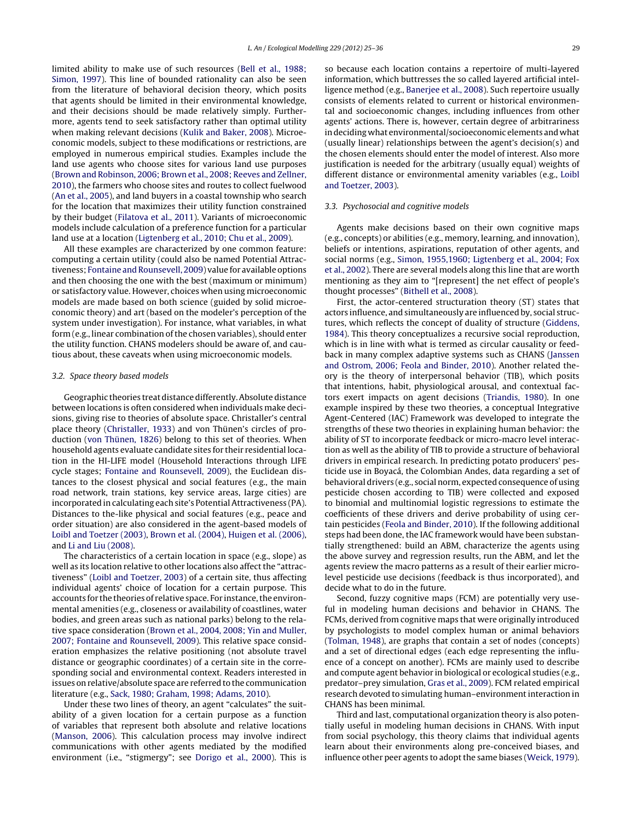limited ability to make use of such resources [\(Bell](#page-8-0) et [al.,](#page-8-0) [1988;](#page-8-0) [Simon,](#page-8-0) [1997\).](#page-8-0) This line of bounded rationality can also be seen from the literature of behavioral decision theory, which posits that agents should be limited in their environmental knowledge, and their decisions should be made relatively simply. Furthermore, agents tend to seek satisfactory rather than optimal utility when making relevant decisions ([Kulik](#page-9-0) [and](#page-9-0) [Baker,](#page-9-0) [2008\).](#page-9-0) Microeconomic models, subject to these modifications or restrictions, are employed in numerous empirical studies. Examples include the land use agents who choose sites for various land use purposes ([Brown](#page-8-0) [and](#page-8-0) [Robinson,](#page-8-0) [2006;](#page-8-0) [Brown](#page-8-0) et [al.,](#page-8-0) [2008;](#page-8-0) [Reeves](#page-8-0) [and](#page-8-0) [Zellner,](#page-8-0) [2010\),](#page-8-0) the farmers who choose sites and routes to collect fuelwood ([An](#page-8-0) et [al.,](#page-8-0) [2005\),](#page-8-0) and land buyers in a coastal township who search for the location that maximizes their utility function constrained by their budget ([Filatova](#page-9-0) et [al.,](#page-9-0) [2011\).](#page-9-0) Variants of microeconomic models include calculation of a preference function for a particular land use at a location [\(Ligtenberg](#page-10-0) et [al.,](#page-10-0) [2010;](#page-10-0) [Chu](#page-10-0) et [al.,](#page-10-0) [2009\).](#page-10-0)

All these examples are characterized by one common feature: computing a certain utility (could also be named Potential Attrac-tiveness; [Fontaine](#page-9-0) and Rounsevell, [2009\)](#page-9-0) value for available options and then choosing the one with the best (maximum or minimum) or satisfactory value. However, choices when using microeconomic models are made based on both science (guided by solid microeconomic theory) and art (based on the modeler's perception of the system under investigation). For instance, what variables, in what form (e.g., linear combination of the chosen variables), should enter the utility function. CHANS modelers should be aware of, and cautious about, these caveats when using microeconomic models.

### 3.2. Space theory based models

Geographic theories treat distance differently. Absolute distance between locations is often considered when individuals make decisions, giving rise to theories of absolute space. Christaller's central place theory [\(Christaller,](#page-8-0) [1933\)](#page-8-0) and von Thünen's circles of production ([von](#page-11-0) [Thünen,](#page-11-0) [1826\)](#page-11-0) belong to this set of theories. When household agents evaluate candidate sites for their residential location in the HI-LIFE model (Household Interactions through LIFE cycle stages; [Fontaine](#page-9-0) [and](#page-9-0) [Rounsevell,](#page-9-0) [2009\),](#page-9-0) the Euclidean distances to the closest physical and social features (e.g., the main road network, train stations, key service areas, large cities) are incorporated in calculating each site's Potential Attractiveness (PA). Distances to the-like physical and social features (e.g., peace and order situation) are also considered in the agent-based models of [Loibl](#page-10-0) [and](#page-10-0) [Toetzer](#page-10-0) [\(2003\),](#page-10-0) [Brown](#page-8-0) et [al.](#page-8-0) [\(2004\),](#page-8-0) [Huigen](#page-9-0) et [al.](#page-9-0) [\(2006\),](#page-9-0) and [Li](#page-10-0) [and](#page-10-0) [Liu](#page-10-0) [\(2008\).](#page-10-0)

The characteristics of a certain location in space (e.g., slope) as well as its location relative to other locations also affect the "attractiveness" ([Loibl](#page-10-0) [and](#page-10-0) [Toetzer,](#page-10-0) [2003\)](#page-10-0) of a certain site, thus affecting individual agents' choice of location for a certain purpose. This accounts for the theories of relative space. For instance, the environmental amenities (e.g., closeness or availability of coastlines, water bodies, and green areas such as national parks) belong to the relative space consideration ([Brown](#page-8-0) et [al.,](#page-8-0) [2004,](#page-8-0) [2008;](#page-8-0) [Yin](#page-8-0) [and](#page-8-0) [Muller,](#page-8-0) [2007;](#page-8-0) [Fontaine](#page-8-0) [and](#page-8-0) [Rounsevell,](#page-8-0) [2009\).](#page-8-0) This relative space consideration emphasizes the relative positioning (not absolute travel distance or geographic coordinates) of a certain site in the corresponding social and environmental context. Readers interested in issues onrelative/absolute space are referred to the communication literature (e.g., [Sack,](#page-10-0) [1980;](#page-10-0) [Graham,](#page-10-0) [1998;](#page-10-0) [Adams,](#page-10-0) [2010\).](#page-10-0)

Under these two lines of theory, an agent "calculates" the suitability of a given location for a certain purpose as a function of variables that represent both absolute and relative locations ([Manson,](#page-10-0) [2006\).](#page-10-0) This calculation process may involve indirect communications with other agents mediated by the modified environment (i.e., "stigmergy"; see [Dorigo](#page-9-0) et [al.,](#page-9-0) [2000\).](#page-9-0) This is so because each location contains a repertoire of multi-layered information, which buttresses the so called layered artificial intelligence method (e.g., [Banerjee](#page-8-0) et [al.,](#page-8-0) [2008\).](#page-8-0) Such repertoire usually consists of elements related to current or historical environmental and socioeconomic changes, including influences from other agents' actions. There is, however, certain degree of arbitrariness indeciding what environmental/socioeconomic elements and what (usually linear) relationships between the agent's decision(s) and the chosen elements should enter the model of interest. Also more justification is needed for the arbitrary (usually equal) weights of different distance or environmental amenity variables (e.g., [Loibl](#page-10-0) [and](#page-10-0) [Toetzer,](#page-10-0) [2003\).](#page-10-0)

## 3.3. Psychosocial and cognitive models

Agents make decisions based on their own cognitive maps (e.g., concepts) or abilities (e.g., memory, learning, and innovation), beliefs or intentions, aspirations, reputation of other agents, and social norms (e.g., [Simon,](#page-11-0) [1955,1960;](#page-11-0) [Ligtenberg](#page-11-0) et [al.,](#page-11-0) [2004;](#page-11-0) [Fox](#page-11-0) et [al.,](#page-11-0) [2002\).](#page-11-0) There are several models along this line that are worth mentioning as they aim to "[represent] the net effect of people's thought processes" [\(Bithell](#page-8-0) et [al.,](#page-8-0) [2008\).](#page-8-0)

First, the actor-centered structuration theory (ST) states that actors influence, and simultaneously are influenced by, social structures, which reflects the concept of duality of structure ([Giddens,](#page-9-0) [1984\).](#page-9-0) This theory conceptualizes a recursive social reproduction, which is in line with what is termed as circular causality or feedback in many complex adaptive systems such as CHANS [\(Janssen](#page-9-0) [and](#page-9-0) [Ostrom,](#page-9-0) [2006;](#page-9-0) [Feola](#page-9-0) [and](#page-9-0) [Binder,](#page-9-0) [2010\).](#page-9-0) Another related theory is the theory of interpersonal behavior (TIB), which posits that intentions, habit, physiological arousal, and contextual factors exert impacts on agent decisions [\(Triandis,](#page-11-0) [1980\).](#page-11-0) In one example inspired by these two theories, a conceptual Integrative Agent-Centered (IAC) Framework was developed to integrate the strengths of these two theories in explaining human behavior: the ability of ST to incorporate feedback or micro-macro level interaction as well as the ability of TIB to provide a structure of behavioral drivers in empirical research. In predicting potato producers' pesticide use in Boyacá, the Colombian Andes, data regarding a set of behavioral drivers (e.g., social norm, expected consequence of using pesticide chosen according to TIB) were collected and exposed to binomial and multinomial logistic regressions to estimate the coefficients of these drivers and derive probability of using certain pesticides [\(Feola](#page-9-0) [and](#page-9-0) [Binder,](#page-9-0) [2010\).](#page-9-0) If the following additional steps had been done, the IAC framework would have been substantially strengthened: build an ABM, characterize the agents using the above survey and regression results, run the ABM, and let the agents review the macro patterns as a result of their earlier microlevel pesticide use decisions (feedback is thus incorporated), and decide what to do in the future.

Second, fuzzy cognitive maps (FCM) are potentially very useful in modeling human decisions and behavior in CHANS. The FCMs, derived from cognitive maps that were originally introduced by psychologists to model complex human or animal behaviors [\(Tolman,](#page-11-0) [1948\),](#page-11-0) are graphs that contain a set of nodes (concepts) and a set of directional edges (each edge representing the influence of a concept on another). FCMs are mainly used to describe and compute agent behavior in biological or ecological studies (e.g., predator–prey simulation, [Gras](#page-9-0) et [al.,](#page-9-0) [2009\).](#page-9-0) FCM related empirical research devoted to simulating human–environmentinteraction in CHANS has been minimal.

Third and last, computational organization theory is also potentially useful in modeling human decisions in CHANS. With input from social psychology, this theory claims that individual agents learn about their environments along pre-conceived biases, and influence other peer agents to adopt the same biases [\(Weick,](#page-11-0) [1979\).](#page-11-0)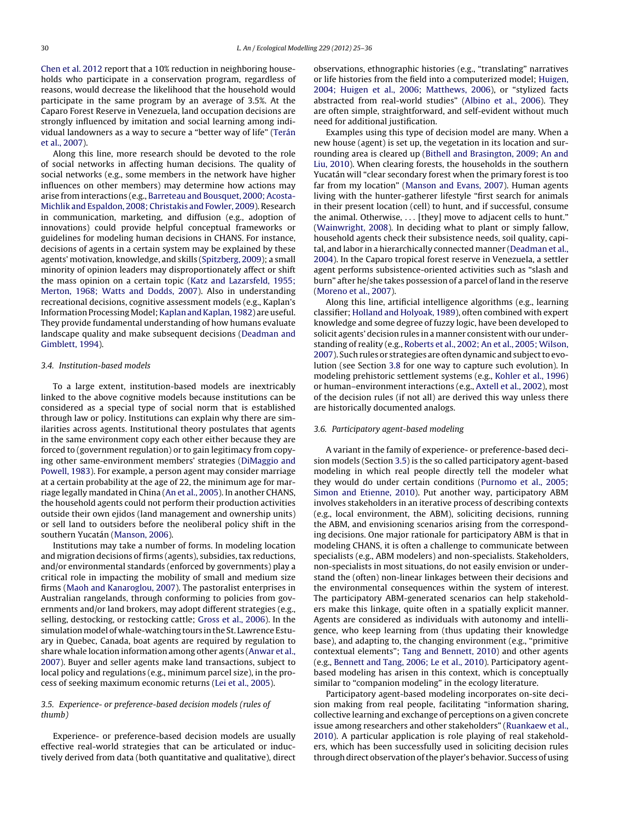<span id="page-5-0"></span>[Chen](#page-8-0) et [al.](#page-8-0) [2012](#page-8-0) report that a 10% reduction in neighboring households who participate in a conservation program, regardless of reasons, would decrease the likelihood that the household would participate in the same program by an average of 3.5%. At the Caparo Forest Reserve in Venezuela, land occupation decisions are strongly influenced by imitation and social learning among individual landowners as a way to secure a "better way of life" ([Terán](#page-11-0) et [al.,](#page-11-0) [2007\).](#page-11-0)

Along this line, more research should be devoted to the role of social networks in affecting human decisions. The quality of social networks (e.g., some members in the network have higher influences on other members) may determine how actions may arise from interactions (e.g., [Barreteau](#page-8-0) [and](#page-8-0) [Bousquet,](#page-8-0) [2000;](#page-8-0) [Acosta-](#page-8-0)Michlik [and](#page-8-0) [Espaldon,](#page-8-0) [2008;](#page-8-0) [Christakis](#page-8-0) [and](#page-8-0) [Fowler,](#page-8-0) [2009\).](#page-8-0) Research in communication, marketing, and diffusion (e.g., adoption of innovations) could provide helpful conceptual frameworks or guidelines for modeling human decisions in CHANS. For instance, decisions of agents in a certain system may be explained by these agents' motivation, knowledge, and skills ([Spitzberg,](#page-11-0) [2009\);](#page-11-0) a small minority of opinion leaders may disproportionately affect or shift the mass opinion on a certain topic ([Katz](#page-9-0) [and](#page-9-0) [Lazarsfeld,](#page-9-0) [1955;](#page-9-0) [Merton,](#page-9-0) [1968;](#page-9-0) [Watts](#page-9-0) [and](#page-9-0) [Dodds,](#page-9-0) [2007\).](#page-9-0) Also in understanding recreational decisions, cognitive assessment models (e.g., Kaplan's Information Processing Model; Kaplan and Kaplan, [1982\)](#page-9-0) are useful. They provide fundamental understanding of how humans evaluate landscape quality and make subsequent decisions [\(Deadman](#page-9-0) [and](#page-9-0) [Gimblett,](#page-9-0) [1994\).](#page-9-0)

#### 3.4. Institution-based models

To a large extent, institution-based models are inextricably linked to the above cognitive models because institutions can be considered as a special type of social norm that is established through law or policy. Institutions can explain why there are similarities across agents. Institutional theory postulates that agents in the same environment copy each other either because they are forced to (government regulation) or to gain legitimacy from copying other same-environment members' strategies ([DiMaggio](#page-9-0) [and](#page-9-0) [Powell,](#page-9-0) [1983\).](#page-9-0) For example, a person agent may consider marriage at a certain probability at the age of 22, the minimum age for marriage legally mandated in China ([An](#page-8-0) et [al.,](#page-8-0) [2005\).](#page-8-0) In another CHANS, the household agents could not perform their production activities outside their own ejidos (land management and ownership units) or sell land to outsiders before the neoliberal policy shift in the southern Yucatán [\(Manson,](#page-10-0) [2006\).](#page-10-0)

Institutions may take a number of forms. In modeling location and migration decisions of firms (agents), subsidies, tax reductions, and/or environmental standards (enforced by governments) play a critical role in impacting the mobility of small and medium size firms [\(Maoh](#page-10-0) [and](#page-10-0) [Kanaroglou,](#page-10-0) [2007\).](#page-10-0) The pastoralist enterprises in Australian rangelands, through conforming to policies from governments and/or land brokers, may adopt different strategies (e.g., selling, destocking, or restocking cattle; [Gross](#page-9-0) et [al.,](#page-9-0) [2006\).](#page-9-0) In the simulation model of whale-watching tours in the St. Lawrence Estuary in Quebec, Canada, boat agents are required by regulation to share whale location information among other agents [\(Anwar](#page-8-0) et [al.,](#page-8-0) [2007\).](#page-8-0) Buyer and seller agents make land transactions, subject to local policy and regulations (e.g., minimum parcel size), in the process of seeking maximum economic returns ([Lei](#page-10-0) et [al.,](#page-10-0) [2005\).](#page-10-0)

# 3.5. Experience- or preference-based decision models (rules of thumb)

Experience- or preference-based decision models are usually effective real-world strategies that can be articulated or inductively derived from data (both quantitative and qualitative), direct observations, ethnographic histories (e.g., "translating" narratives or life histories from the field into a computerized model; [Huigen,](#page-9-0) [2004;](#page-9-0) [Huigen](#page-9-0) et [al.,](#page-9-0) [2006;](#page-9-0) [Matthews,](#page-9-0) [2006\),](#page-9-0) or "stylized facts abstracted from real-world studies" ([Albino](#page-8-0) et [al.,](#page-8-0) [2006\).](#page-8-0) They are often simple, straightforward, and self-evident without much need for additional justification.

Examples using this type of decision model are many. When a new house (agent) is set up, the vegetation in its location and surrounding area is cleared up ([Bithell](#page-8-0) [and](#page-8-0) [Brasington,](#page-8-0) [2009;](#page-8-0) [An](#page-8-0) [and](#page-8-0) [Liu,](#page-8-0) [2010\).](#page-8-0) When clearing forests, the households in the southern Yucatán will "clear secondary forest when the primary forest is too far from my location" ([Manson](#page-10-0) [and](#page-10-0) [Evans,](#page-10-0) [2007\).](#page-10-0) Human agents living with the hunter-gatherer lifestyle "first search for animals in their present location (cell) to hunt, and if successful, consume the animal. Otherwise, . . . [they] move to adjacent cells to hunt." [\(Wainwright,](#page-11-0) [2008\).](#page-11-0) In deciding what to plant or simply fallow, household agents check their subsistence needs, soil quality, capital, and labor in a hierarchically connected manner [\(Deadman](#page-9-0) et [al.,](#page-9-0) [2004\).](#page-9-0) In the Caparo tropical forest reserve in Venezuela, a settler agent performs subsistence-oriented activities such as "slash and burn" after he/she takes possession of a parcel of land in the reserve [\(Moreno](#page-10-0) et [al.,](#page-10-0) [2007\).](#page-10-0)

Along this line, artificial intelligence algorithms (e.g., learning classifier; [Holland](#page-9-0) [and](#page-9-0) [Holyoak,](#page-9-0) [1989\),](#page-9-0) often combined with expert knowledge and some degree of fuzzy logic, have been developed to solicit agents' decision rules in a manner consistent with our understanding of reality (e.g., [Roberts](#page-10-0) et [al.,](#page-10-0) [2002;](#page-10-0) [An](#page-10-0) et [al.,](#page-10-0) [2005;](#page-10-0) [Wilson,](#page-10-0) [2007\).](#page-10-0) Such rules or strategies are often dynamic and subject to evolution (see Section [3.8](#page-6-0) for one way to capture such evolution). In modeling prehistoric settlement systems (e.g., [Kohler](#page-9-0) et [al.,](#page-9-0) [1996\)](#page-9-0) or human–environment interactions (e.g., [Axtell](#page-8-0) et [al.,](#page-8-0) [2002\),](#page-8-0) most of the decision rules (if not all) are derived this way unless there are historically documented analogs.

#### 3.6. Participatory agent-based modeling

A variant in the family of experience- or preference-based decision models (Section 3.5) is the so called participatory agent-based modeling in which real people directly tell the modeler what they would do under certain conditions ([Purnomo](#page-10-0) et [al.,](#page-10-0) [2005;](#page-10-0) [Simon](#page-10-0) [and](#page-10-0) [Etienne,](#page-10-0) [2010\).](#page-10-0) Put another way, participatory ABM involves stakeholders in an iterative process of describing contexts (e.g., local environment, the ABM), soliciting decisions, running the ABM, and envisioning scenarios arising from the corresponding decisions. One major rationale for participatory ABM is that in modeling CHANS, it is often a challenge to communicate between specialists (e.g., ABM modelers) and non-specialists. Stakeholders, non-specialists in most situations, do not easily envision or understand the (often) non-linear linkages between their decisions and the environmental consequences within the system of interest. The participatory ABM-generated scenarios can help stakeholders make this linkage, quite often in a spatially explicit manner. Agents are considered as individuals with autonomy and intelligence, who keep learning from (thus updating their knowledge base), and adapting to, the changing environment (e.g., "primitive contextual elements"; [Tang](#page-11-0) [and](#page-11-0) [Bennett,](#page-11-0) [2010\)](#page-11-0) and other agents (e.g., [Bennett](#page-8-0) [and](#page-8-0) [Tang,](#page-8-0) [2006;](#page-8-0) [Le](#page-8-0) et [al.,](#page-8-0) [2010\).](#page-8-0) Participatory agentbased modeling has arisen in this context, which is conceptually similar to "companion modeling" in the ecology literature.

Participatory agent-based modeling incorporates on-site decision making from real people, facilitating "information sharing, collective learning and exchange of perceptions on a given concrete issue among researchers and other stakeholders" [\(Ruankaew](#page-10-0) et [al.,](#page-10-0) [2010\).](#page-10-0) A particular application is role playing of real stakeholders, which has been successfully used in soliciting decision rules through direct observation of the player's behavior. Success of using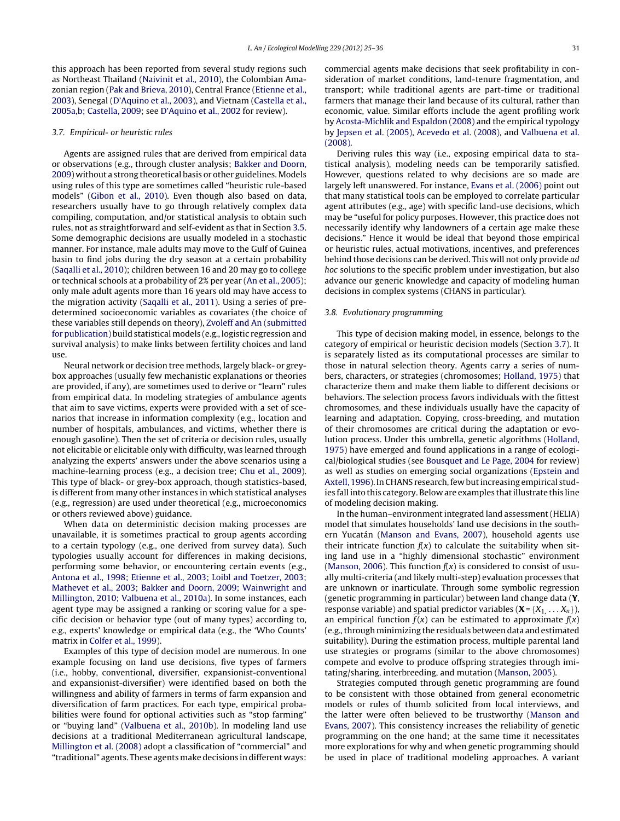<span id="page-6-0"></span>this approach has been reported from several study regions such as Northeast Thailand [\(Naivinit](#page-10-0) et [al.,](#page-10-0) [2010\),](#page-10-0) the Colombian Amazonian region [\(Pak](#page-10-0) [and](#page-10-0) [Brieva,](#page-10-0) [2010\),](#page-10-0) Central France ([Etienne](#page-9-0) et [al.,](#page-9-0) [2003\),](#page-9-0) Senegal [\(D'Aquino](#page-9-0) et [al.,](#page-9-0) [2003\),](#page-9-0) and Vietnam ([Castella](#page-8-0) et [al.,](#page-8-0) [2005a,b;](#page-8-0) [Castella,](#page-8-0) [2009;](#page-8-0) see [D'Aquino](#page-9-0) et [al.,](#page-9-0) [2002](#page-9-0) for review).

#### 3.7. Empirical- or heuristic rules

Agents are assigned rules that are derived from empirical data or observations (e.g., through cluster analysis; [Bakker](#page-8-0) [and](#page-8-0) [Doorn,](#page-8-0) [2009\)](#page-8-0) without a strong theoretical basis or other guidelines. Models using rules of this type are sometimes called "heuristic rule-based models" [\(Gibon](#page-9-0) et [al.,](#page-9-0) [2010\).](#page-9-0) Even though also based on data, researchers usually have to go through relatively complex data compiling, computation, and/or statistical analysis to obtain such rules, not as straightforward and self-evident as that in Section [3.5.](#page-5-0) Some demographic decisions are usually modeled in a stochastic manner. For instance, male adults may move to the Gulf of Guinea basin to find jobs during the dry season at a certain probability ([Saqalli](#page-10-0) et [al.,](#page-10-0) [2010\);](#page-10-0) children between 16 and 20 may go to college or technical schools at a probability of 2% per year [\(An](#page-8-0) et [al.,](#page-8-0) [2005\);](#page-8-0) only male adult agents more than 16 years old may have access to the migration activity ([Saqalli](#page-11-0) et [al.,](#page-11-0) [2011\).](#page-11-0) Using a series of predetermined socioeconomic variables as covariates (the choice of these variables still depends on theory), [Zvoleff](#page-11-0) [and](#page-11-0) [An](#page-11-0) [\(submitted](#page-11-0) [for](#page-11-0) [publication\)](#page-11-0) build statistical models (e.g., logistic regression and survival analysis) to make links between fertility choices and land use.

Neural network or decision tree methods, largely black- or greybox approaches (usually few mechanistic explanations or theories are provided, if any), are sometimes used to derive or "learn" rules from empirical data. In modeling strategies of ambulance agents that aim to save victims, experts were provided with a set of scenarios that increase in information complexity (e.g., location and number of hospitals, ambulances, and victims, whether there is enough gasoline). Then the set of criteria or decision rules, usually not elicitable or elicitable only with difficulty, was learned through analyzing the experts' answers under the above scenarios using a machine-learning process (e.g., a decision tree; [Chu](#page-8-0) et [al.,](#page-8-0) [2009\).](#page-8-0) This type of black- or grey-box approach, though statistics-based, is different from many other instances in which statistical analyses (e.g., regression) are used under theoretical (e.g., microeconomics or others reviewed above) guidance.

When data on deterministic decision making processes are unavailable, it is sometimes practical to group agents according to a certain typology (e.g., one derived from survey data). Such typologies usually account for differences in making decisions, performing some behavior, or encountering certain events (e.g., [Antona](#page-8-0) et [al.,](#page-8-0) [1998;](#page-8-0) [Etienne](#page-8-0) et [al.,](#page-8-0) [2003;](#page-8-0) [Loibl](#page-8-0) [and](#page-8-0) [Toetzer,](#page-8-0) [2003;](#page-8-0) [Mathevet](#page-8-0) et [al.,](#page-8-0) [2003;](#page-8-0) [Bakker](#page-8-0) [and](#page-8-0) [Doorn,](#page-8-0) [2009;](#page-8-0) [Wainwright](#page-8-0) [and](#page-8-0) [Millington,](#page-8-0) [2010;](#page-8-0) [Valbuena](#page-8-0) et [al.,](#page-8-0) [2010a\).](#page-8-0) In some instances, each agent type may be assigned a ranking or scoring value for a specific decision or behavior type (out of many types) according to, e.g., experts' knowledge or empirical data (e.g., the 'Who Counts' matrix in [Colfer](#page-9-0) et [al.,](#page-9-0) [1999\).](#page-9-0)

Examples of this type of decision model are numerous. In one example focusing on land use decisions, five types of farmers (i.e., hobby, conventional, diversifier, expansionist-conventional and expansionist-diversifier) were identified based on both the willingness and ability of farmers in terms of farm expansion and diversification of farm practices. For each type, empirical probabilities were found for optional activities such as "stop farming" or "buying land" [\(Valbuena](#page-11-0) et [al.,](#page-11-0) [2010b\).](#page-11-0) In modeling land use decisions at a traditional Mediterranean agricultural landscape, [Millington](#page-10-0) et [al.](#page-10-0) [\(2008\)](#page-10-0) adopt a classification of "commercial" and "traditional" agents. These agents make decisions in different ways:

commercial agents make decisions that seek profitability in consideration of market conditions, land-tenure fragmentation, and transport; while traditional agents are part-time or traditional farmers that manage their land because of its cultural, rather than economic, value. Similar efforts include the agent profiling work by [Acosta-Michlik](#page-8-0) [and](#page-8-0) [Espaldon](#page-8-0) [\(2008\)](#page-8-0) and the empirical typology by [Jepsen](#page-9-0) et [al.](#page-9-0) [\(2005\),](#page-9-0) [Acevedo](#page-8-0) et [al.](#page-8-0) [\(2008\),](#page-8-0) and [Valbuena](#page-11-0) et [al.](#page-11-0) [\(2008\).](#page-11-0)

Deriving rules this way (i.e., exposing empirical data to statistical analysis), modeling needs can be temporarily satisfied. However, questions related to why decisions are so made are largely left unanswered. For instance, [Evans](#page-9-0) et [al.](#page-9-0) [\(2006\)](#page-9-0) point out that many statistical tools can be employed to correlate particular agent attributes (e.g., age) with specific land-use decisions, which may be "useful for policy purposes. However, this practice does not necessarily identify why landowners of a certain age make these decisions." Hence it would be ideal that beyond those empirical or heuristic rules, actual motivations, incentives, and preferences behind those decisions can be derived. This will not only provide ad hoc solutions to the specific problem under investigation, but also advance our generic knowledge and capacity of modeling human decisions in complex systems (CHANS in particular).

#### 3.8. Evolutionary programming

This type of decision making model, in essence, belongs to the category of empirical or heuristic decision models (Section 3.7). It is separately listed as its computational processes are similar to those in natural selection theory. Agents carry a series of numbers, characters, or strategies (chromosomes; [Holland,](#page-9-0) [1975\)](#page-9-0) that characterize them and make them liable to different decisions or behaviors. The selection process favors individuals with the fittest chromosomes, and these individuals usually have the capacity of learning and adaptation. Copying, cross-breeding, and mutation of their chromosomes are critical during the adaptation or evolution process. Under this umbrella, genetic algorithms ([Holland,](#page-9-0) [1975\)](#page-9-0) have emerged and found applications in a range of ecological/biological studies (see [Bousquet](#page-8-0) [and](#page-8-0) [Le](#page-8-0) [Page,](#page-8-0) [2004](#page-8-0) for review) as well as studies on emerging social organizations [\(Epstein](#page-9-0) [and](#page-9-0) [Axtell,](#page-9-0) [1996\).](#page-9-0) In CHANS research, few but increasing empirical studies fall into this category. Below are examples that illustrate this line of modeling decision making.

In the human-environment integrated land assessment (HELIA) model that simulates households' land use decisions in the southern Yucatán [\(Manson](#page-10-0) [and](#page-10-0) [Evans,](#page-10-0) [2007\),](#page-10-0) household agents use their intricate function  $f(x)$  to calculate the suitability when siting land use in a "highly dimensional stochastic" environment [\(Manson,](#page-10-0) [2006\).](#page-10-0) This function  $f(x)$  is considered to consist of usually multi-criteria (and likely multi-step) evaluation processes that are unknown or inarticulate. Through some symbolic regression (genetic programming in particular) between land change data (**Y**, response variable) and spatial predictor variables  $(\mathbf{X} = \{X_1, \ldots, X_n\})$ , an empirical function  $\hat{f}(x)$  can be estimated to approximate  $f(x)$ (e.g.,through minimizing the residuals between data and estimated suitability). During the estimation process, multiple parental land use strategies or programs (similar to the above chromosomes) compete and evolve to produce offspring strategies through imitating/sharing, interbreeding, and mutation [\(Manson,](#page-10-0) [2005\).](#page-10-0)

Strategies computed through genetic programming are found to be consistent with those obtained from general econometric models or rules of thumb solicited from local interviews, and the latter were often believed to be trustworthy [\(Manson](#page-10-0) [and](#page-10-0) [Evans,](#page-10-0) [2007\).](#page-10-0) This consistency increases the reliability of genetic programming on the one hand; at the same time it necessitates more explorations for why and when genetic programming should be used in place of traditional modeling approaches. A variant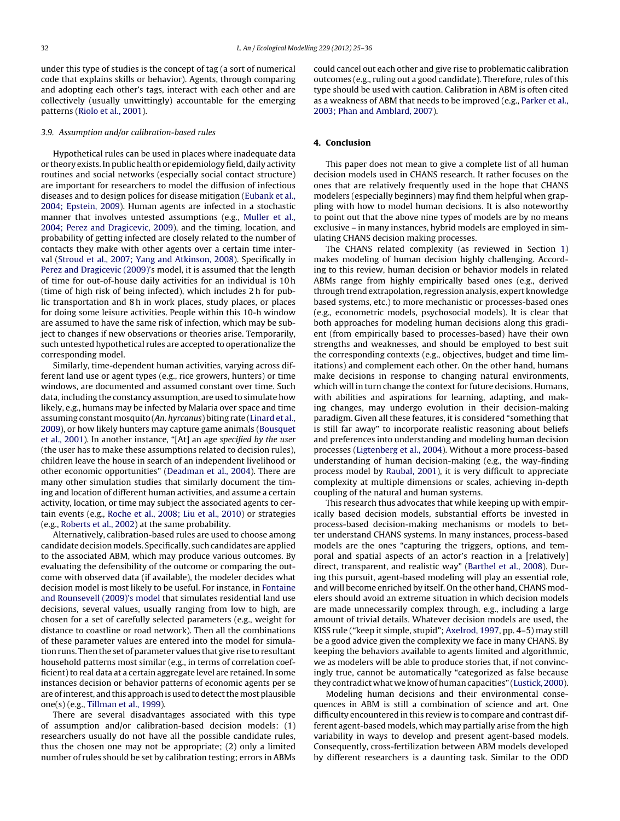under this type of studies is the concept of tag (a sort of numerical code that explains skills or behavior). Agents, through comparing and adopting each other's tags, interact with each other and are collectively (usually unwittingly) accountable for the emerging patterns ([Riolo](#page-10-0) et [al.,](#page-10-0) [2001\).](#page-10-0)

## 3.9. Assumption and/or calibration-based rules

Hypothetical rules can be used in places where inadequate data or theory exists.In public health or epidemiologyfield, daily activity routines and social networks (especially social contact structure) are important for researchers to model the diffusion of infectious diseases and to design polices for disease mitigation [\(Eubank](#page-9-0) et [al.,](#page-9-0) [2004;](#page-9-0) [Epstein,](#page-9-0) [2009\).](#page-9-0) Human agents are infected in a stochastic manner that involves untested assumptions (e.g., [Muller](#page-10-0) et [al.,](#page-10-0) [2004;](#page-10-0) [Perez](#page-10-0) [and](#page-10-0) [Dragicevic,](#page-10-0) [2009\),](#page-10-0) and the timing, location, and probability of getting infected are closely related to the number of contacts they make with other agents over a certain time interval [\(Stroud](#page-11-0) et [al.,](#page-11-0) [2007;](#page-11-0) [Yang](#page-11-0) [and](#page-11-0) [Atkinson,](#page-11-0) [2008\).](#page-11-0) Specifically in [Perez](#page-10-0) [and](#page-10-0) [Dragicevic](#page-10-0) [\(2009\)'s](#page-10-0) model, it is assumed that the length of time for out-of-house daily activities for an individual is 10 h (time of high risk of being infected), which includes 2 h for public transportation and 8 h in work places, study places, or places for doing some leisure activities. People within this 10-h window are assumed to have the same risk of infection, which may be subject to changes if new observations or theories arise. Temporarily, such untested hypothetical rules are accepted to operationalize the corresponding model.

Similarly, time-dependent human activities, varying across different land use or agent types (e.g., rice growers, hunters) or time windows, are documented and assumed constant over time. Such data, including the constancy assumption, are used to simulate how likely, e.g., humans may be infected by Malaria over space and time assuming constant mosquito (An. hyrcanus) biting rate [\(Linard](#page-10-0) et [al.,](#page-10-0) [2009\),](#page-10-0) or how likely hunters may capture game animals ([Bousquet](#page-8-0) et [al.,](#page-8-0) [2001\).](#page-8-0) In another instance, "[At] an age specified by the user (the user has to make these assumptions related to decision rules), children leave the house in search of an independent livelihood or other economic opportunities" ([Deadman](#page-9-0) et [al.,](#page-9-0) [2004\).](#page-9-0) There are many other simulation studies that similarly document the timing and location of different human activities, and assume a certain activity, location, or time may subject the associated agents to certain events (e.g., [Roche](#page-10-0) et [al.,](#page-10-0) [2008;](#page-10-0) [Liu](#page-10-0) et [al.,](#page-10-0) [2010\)](#page-10-0) or strategies (e.g., [Roberts](#page-10-0) et [al.,](#page-10-0) [2002\)](#page-10-0) at the same probability.

Alternatively, calibration-based rules are used to choose among candidate decision models. Specifically, such candidates are applied to the associated ABM, which may produce various outcomes. By evaluating the defensibility of the outcome or comparing the outcome with observed data (if available), the modeler decides what decision model is most likely to be useful. For instance, in [Fontaine](#page-9-0) [and](#page-9-0) [Rounsevell](#page-9-0) [\(2009\)'s](#page-9-0) [model](#page-9-0) that simulates residential land use decisions, several values, usually ranging from low to high, are chosen for a set of carefully selected parameters (e.g., weight for distance to coastline or road network). Then all the combinations of these parameter values are entered into the model for simulation runs. Then the set of parameter values that give rise to resultant household patterns most similar (e.g., in terms of correlation coefficient) to real data at a certain aggregate level are retained. In some instances decision or behavior patterns of economic agents per se are of interest, and this approach is used to detect the most plausible one(s) (e.g., [Tillman](#page-11-0) et [al.,](#page-11-0) [1999\).](#page-11-0)

There are several disadvantages associated with this type of assumption and/or calibration-based decision models: (1) researchers usually do not have all the possible candidate rules, thus the chosen one may not be appropriate; (2) only a limited number of rules should be set by calibration testing; errors in ABMs could cancel out each other and give rise to problematic calibration outcomes (e.g., ruling out a good candidate). Therefore, rules of this type should be used with caution. Calibration in ABM is often cited as a weakness of ABM that needs to be improved (e.g., [Parker](#page-10-0) et [al.,](#page-10-0) [2003;](#page-10-0) [Phan](#page-10-0) [and](#page-10-0) [Amblard,](#page-10-0) [2007\).](#page-10-0)

#### **4. Conclusion**

This paper does not mean to give a complete list of all human decision models used in CHANS research. It rather focuses on the ones that are relatively frequently used in the hope that CHANS modelers (especially beginners) may find them helpful when grappling with how to model human decisions. It is also noteworthy to point out that the above nine types of models are by no means exclusive – in many instances, hybrid models are employed in simulating CHANS decision making processes.

The CHANS related complexity (as reviewed in Section [1\)](#page-0-0) makes modeling of human decision highly challenging. According to this review, human decision or behavior models in related ABMs range from highly empirically based ones (e.g., derived through trend extrapolation, regression analysis, expert knowledge based systems, etc.) to more mechanistic or processes-based ones (e.g., econometric models, psychosocial models). It is clear that both approaches for modeling human decisions along this gradient (from empirically based to processes-based) have their own strengths and weaknesses, and should be employed to best suit the corresponding contexts (e.g., objectives, budget and time limitations) and complement each other. On the other hand, humans make decisions in response to changing natural environments, which will in turn change the context for future decisions. Humans, with abilities and aspirations for learning, adapting, and making changes, may undergo evolution in their decision-making paradigm. Given all these features, it is considered "something that is still far away" to incorporate realistic reasoning about beliefs and preferences into understanding and modeling human decision processes ([Ligtenberg](#page-10-0) et [al.,](#page-10-0) [2004\).](#page-10-0) Without a more process-based understanding of human decision-making (e.g., the way-finding process model by [Raubal,](#page-10-0) [2001\),](#page-10-0) it is very difficult to appreciate complexity at multiple dimensions or scales, achieving in-depth coupling of the natural and human systems.

This research thus advocates that while keeping up with empirically based decision models, substantial efforts be invested in process-based decision-making mechanisms or models to better understand CHANS systems. In many instances, process-based models are the ones "capturing the triggers, options, and temporal and spatial aspects of an actor's reaction in a [relatively] direct, transparent, and realistic way" ([Barthel](#page-8-0) et [al.,](#page-8-0) [2008\).](#page-8-0) During this pursuit, agent-based modeling will play an essential role, and will become enriched by itself. On the other hand, CHANS modelers should avoid an extreme situation in which decision models are made unnecessarily complex through, e.g., including a large amount of trivial details. Whatever decision models are used, the KISS rule ("keep it simple, stupid"; [Axelrod,](#page-8-0) [1997,](#page-8-0) pp. 4–5) may still be a good advice given the complexity we face in many CHANS. By keeping the behaviors available to agents limited and algorithmic, we as modelers will be able to produce stories that, if not convincingly true, cannot be automatically "categorized as false because they contradict what we know of human capacities" ([Lustick,](#page-10-0) [2000\).](#page-10-0)

Modeling human decisions and their environmental consequences in ABM is still a combination of science and art. One difficulty encountered in this review is to compare and contrast different agent-based models, which may partially arise from the high variability in ways to develop and present agent-based models. Consequently, cross-fertilization between ABM models developed by different researchers is a daunting task. Similar to the ODD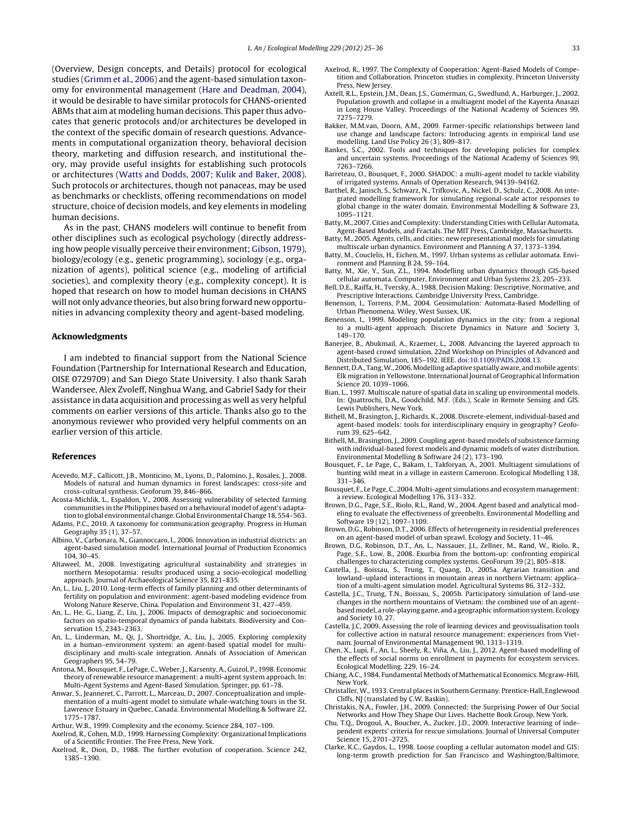<span id="page-8-0"></span>(Overview, Design concepts, and Details) protocol for ecological studies ([Grimm](#page-9-0) et [al.,](#page-9-0) [2006\)](#page-9-0) and the agent-based simulation taxonomy for environmental management [\(Hare](#page-9-0) [and](#page-9-0) [Deadman,](#page-9-0) [2004\),](#page-9-0) it would be desirable to have similar protocols for CHANS-oriented ABMs that aim at modeling human decisions. This paper thus advocates that generic protocols and/or architectures be developed in the context of the specific domain of research questions. Advancements in computational organization theory, behavioral decision theory, marketing and diffusion research, and institutional theory, may provide useful insights for establishing such protocols or architectures [\(Watts](#page-11-0) [and](#page-11-0) [Dodds,](#page-11-0) [2007;](#page-11-0) [Kulik](#page-11-0) [and](#page-11-0) [Baker,](#page-11-0) [2008\).](#page-11-0) Such protocols or architectures, though not panaceas, may be used as benchmarks or checklists, offering recommendations on model structure, choice of decision models, and key elements in modeling human decisions.

As in the past, CHANS modelers will continue to benefit from other disciplines such as ecological psychology (directly addressing how people visually perceive their environment; [Gibson,](#page-9-0) [1979\),](#page-9-0) biology/ecology (e.g., genetic programming), sociology (e.g., organization of agents), political science (e.g., modeling of artificial societies), and complexity theory (e.g., complexity concept). It is hoped that research on how to model human decisions in CHANS will not only advance theories, but also bring forward new opportunities in advancing complexity theory and agent-based modeling.

#### **Acknowledgments**

I am indebted to financial support from the National Science Foundation (Partnership for International Research and Education, OISE 0729709) and San Diego State University. I also thank Sarah Wandersee, Alex Zvoleff, Ninghua Wang, and Gabriel Sady for their assistance in data acquisition and processing as well as very helpful comments on earlier versions of this article. Thanks also go to the anonymous reviewer who provided very helpful comments on an earlier version of this article.

#### **References**

- Acevedo, M.F., Callicott, J.B., Monticino, M., Lyons, D., Palomino, J., Rosales, J., 2008. Models of natural and human dynamics in forest landscapes: cross-site and cross-cultural synthesis. Geoforum 39, 846–866.
- Acosta-Michlik, L., Espaldon, V., 2008. Assessing vulnerability of selected farming communities in the Philippines based on a behavioural model of agent's adaptationto global environmental change. Global EnvironmentalChange 18, 554–563.
- Adams, P.C., 2010. A taxonomy for communication geography. Progress in Human Geography 35 (1), 37–57.
- Albino, V., Carbonara, N., Giannoccaro, I., 2006. Innovation in industrial districts: an agent-based simulation model. International Journal of Production Economics 104, 30–45.
- Altaweel, M., 2008. Investigating agricultural sustainability and strategies in northern Mesopotamia: results produced using a socio-ecological modelling approach. Journal of Archaeological Science 35, 821–835.
- An, L., Liu, J., 2010. Long-term effects of family planning and other determinants of fertility on population and environment: agent-based modeling evidence from Wolong Nature Reserve, China. Population and Environment 31, 427–459.
- An, L., He, G., Liang, Z., Liu, J., 2006. Impacts of demographic and socioeconomic factors on spatio-temporal dynamics of panda habitats. Biodiversity and Conservation 15, 2343–2363.
- An, L., Linderman, M., Qi, J., Shortridge, A., Liu, J., 2005. Exploring complexity in a human–environment system: an agent-based spatial model for multidisciplinary and multi-scale integration. Annals of Association of American Geographers 95, 54–79.
- Antona, M., Bousquet, F., LePage, C.,Weber, J., Karsenty, A., Guizol, P., 1998. Economic theory of renewable resource management: a multi-agent system approach. In: Multi-Agent Systems and Agent-Based Simulation. Springer, pp. 61–78.
- Anwar, S., Jeanneret, C., Parrott, L., Marceau, D., 2007. Conceptualization and implementation of a multi-agent model to simulate whale-watching tours in the St. Lawrence Estuary in Quebec, Canada. Environmental Modelling & Software 22, 1775–1787.
- Arthur, W.B., 1999. Complexity and the economy. Science 284, 107–109.
- Axelrod, R., Cohen, M.D., 1999. Harnessing Complexity: Organizational Implications of a Scientific Frontier. The Free Press, New York.
- Axelrod, R., Dion, D., 1988. The further evolution of cooperation. Science 242, 1385–1390.
- Axelrod, R., 1997. The Complexity of Cooperation: Agent-Based Models of Competition and Collaboration. Princeton studies in complexity. Princeton University Press, New Jersey.
- Axtell, R.L., Epstein, J.M., Dean, J.S., Gumerman, G., Swedlund, A., Harburger, J., 2002. Population growth and collapse in a multiagent model of the Kayenta Anasazi in Long House Valley. Proceedings of the National Academy of Sciences 99, 7275–7279.
- Bakker, M.M.van, Doorn, A.M., 2009. Farmer-specific relationships between land use change and landscape factors: Introducing agents in empirical land use modelling. Land Use Policy 26 (3), 809–817.
- Bankes, S.C., 2002. Tools and techniques for developing policies for complex and uncertain systems. Proceedings of the National Academy of Sciences 99, 7263–7266.
- Barreteau, O., Bousquet, F., 2000. SHADOC: a multi-agent model to tackle viability of irrigated systems. Annals of Operation Research, 94139–94162.
- Barthel, R., Janisch, S., Schwarz, N., Trifkovic, A., Nickel, D., Schulz, C., 2008. An integrated modelling framework for simulating regional-scale actor responses to global change in the water domain. Environmental Modelling & Software 23, 1095–1121.
- Batty, M., 2007. Cities and Complexity: Understanding Cities with Cellular Automata, Agent-Based Models, and Fractals. The MIT Press, Cambridge, Massachusetts.
- Batty, M., 2005. Agents, cells, and cities: new representational models for simulating multiscale urban dynamics. Environment and Planning A 37, 1373–1394.
- Batty, M., Couclelis, H., Eichen, M., 1997. Urban systems as cellular automata. Environment and Planning B 24, 59–164.
- Batty, M., Xie, Y., Sun, Z.L., 1994. Modelling urban dynamics through GIS-based cellular automata. Computer, Environment and Urban Systems 23, 205–233. Bell, D.E., Raiffa, H., Tversky, A., 1988. Decision Making: Descriptive, Normative, and
- Prescriptive Interactions. Cambridge University Press, Cambridge. Benenson, I., Torrens, P.M., 2004. Geosimulation: Automata-Based Modelling of
- Urban Phenomena. Wiley, West Sussex, UK.
- Benenson, I., 1999. Modeling population dynamics in the city: from a regional to a multi-agent approach. Discrete Dynamics in Nature and Society 3, 149–170.
- Banerjee, B., Abukmail, A., Kraemer, L., 2008. Advancing the layered approach to agent-based crowd simulation. 22nd Workshop on Principles of Advanced and Distributed Simulation, 185–192. IEEE. [doi:10.1109/PADS.2008.13.](http://dx.doi.org/10.1109/PADS.2008.13)
- Bennett, D.A., Tang,W., 2006.Modelling adaptive spatially aware, andmobile agents: Elk migration in Yellowstone. International Journal of Geographical Information Science 20, 1039–1066.
- Bian, L., 1997. Multiscale nature of spatial data in scaling up environmental models. In: Quattrochi, D.A., Goodchild, M.F. (Eds.), Scale in Remote Sensing and GIS. Lewis Publishers, New York.
- Bithell, M., Brasington, J., Richards, K., 2008. Discrete-element, individual-based and agent-based models: tools for interdisciplinary enquiry in geography? Geoforum 39, 625–642.
- Bithell, M., Brasington, J., 2009. Coupling agent-based models of subsistence farming with individual-based forest models and dynamic models of water distribution. Environmental Modelling & Software 24 (2), 173–190.
- Bousquet, F., Le Page, C., Bakam, I., Takforyan, A., 2001. Multiagent simulations of hunting wild meat in a village in eastern Cameroon. Ecological Modelling 138, 331–346.
- Bousquet, F., Le Page, C., 2004.Multi-agent simulations and ecosystem management: a review. Ecological Modelling 176, 313–332.
- Brown, D.G., Page, S.E., Riolo, R.L., Rand, W., 2004. Agent based and analytical modeling to evaluate the effectiveness of greenbelts. Environmental Modelling and Software 19 (12), 1097–1109.
- Brown, D.G., Robinson, D.T., 2006. Effects of heterogeneity in residential preferences on an agent-based model of urban sprawl. Ecology and Society, 11–46.
- Brown, D.G, Robinson, D.T., An, L., Nassauer, J.I., Zellner, M., Rand, W., Riolo, R., Page, S.E., Low, B., 2008. Exurbia from the bottom-up: confronting empirical challenges to characterizing complex systems. GeoForum 39 (2), 805–818.
- Castella, J., Boissau, S., Trung, T., Quang, D., 2005a. Agrarian transition and lowland–upland interactions in mountain areas in northern Vietnam: application of a multi-agent simulation model. Agricultural Systems 86, 312–332.
- Castella, J.C., Trung, T.N., Boissau, S., 2005b. Participatory simulation of land-use changes in the northern mountains of Vietnam: the combined use of an agentbasedmodel, a role-playing game, and a geographic information system. Ecology and Society 10, 27.
- Castella, J.C, 2009. Assessing the role of learning devices and geovisualisation tools for collective action in natural resource management: experiences from Vietnam. Journal of Environmental Management 90, 1313–1319.
- Chen, X., Lupi, F., An, L., Sheely, R., Viña, A., Liu, J., 2012. Agent-based modelling of the effects of social norms on enrollment in payments for ecosystem services. Ecological Modelling. 229, 16–24.
- Chiang, A.C., 1984. Fundamental Methods of Mathematical Economics. Mcgraw-Hill, New York.
- Christaller, W., 1933. Central places in Southern Germany. Prentice-Hall, Englewood Cliffs, NJ (translated by C.W. Baskin).
- Christakis, N.A., Fowler, J.H., 2009. Connected: the Surprising Power of Our Social Networks and How They Shape Our Lives. Hachette Book Group, New York.
- Chu, T.Q., Drogoul, A., Boucher, A., Zucker, J.D., 2009. Interactive learning of independent experts' criteria for rescue simulations. Journal of Universal Computer Science 15, 2701–2725.
- Clarke, K.C., Gaydos, L., 1998. Loose coupling a cellular automaton model and GIS: long-term growth prediction for San Francisco and Washington/Baltimore.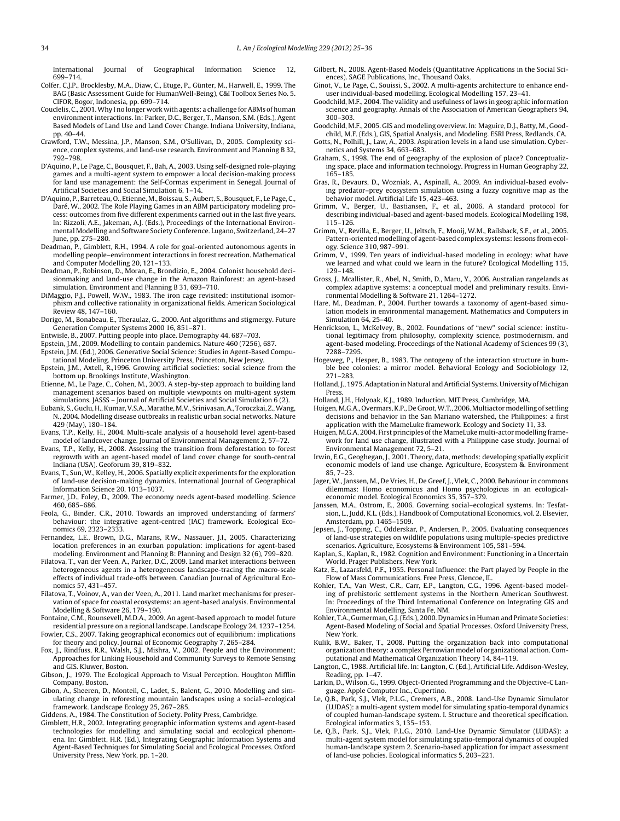<span id="page-9-0"></span>International Journal of Geographical Information Science 12, 699–714.

- Colfer, C.J.P., Brocklesby, M.A., Diaw, C., Etuge, P., Günter, M., Harwell, E., 1999. The BAG (Basic Assessment Guide for HumanWell-Being), C&I Toolbox Series No. 5. CIFOR, Bogor, Indonesia, pp. 699–714.
- Couclelis, C., 2001. Why I no longer work with agents: a challenge for ABMs of human environment interactions. In: Parker, D.C., Berger, T., Manson, S.M. (Eds.), Agent Based Models of Land Use and Land Cover Change. Indiana University, Indiana, pp. 40–44.
- Crawford, T.W., Messina, J.P., Manson, S.M., O'Sullivan, D., 2005. Complexity science, complex systems, and land-use research. Environment and Planning B 32, 792–798.
- D'Aquino, P., Le Page, C., Bousquet, F., Bah, A., 2003. Using self-designed role-playing games and a multi-agent system to empower a local decision-making process for land use management: the Self-Cormas experiment in Senegal. Journal of Artificial Societies and Social Simulation 6, 1–14.
- D'Aquino, P., Barreteau, O., Etienne, M., Boissau, S., Aubert, S., Bousquet, F., Le Page, C., Daré, W., 2002. The Role Playing Games in an ABM participatory modeling process: outcomes from five different experiments carried out in the last five years. In: Rizzoli, A.E., Jakeman, A.J. (Eds.), Proceedings of the International Environmental Modelling and Software Society Conference. Lugano, Switzerland, 24–27 June, pp. 275–280.
- Deadman, P., Gimblett, R.H., 1994. A role for goal-oriented autonomous agents in modelling people–environment interactions in forest recreation. Mathematical and Computer Modelling 20, 121–133.
- Deadman, P., Robinson, D., Moran, E., Brondizio, E., 2004. Colonist household decisionmaking and land-use change in the Amazon Rainforest: an agent-based simulation. Environment and Planning B 31, 693–710.
- DiMaggio, P.J., Powell, W.W., 1983. The iron cage revisited: institutional isomorphism and collective rationality in organizational fields. American Sociological Review 48, 147–160.
- Dorigo, M., Bonabeau, E., Theraulaz, G., 2000. Ant algorithms and stigmergy. Future Generation Computer Systems 2000 16, 851–871.
- Entwisle, B., 2007. Putting people into place. Demography 44, 687–703.
- Epstein, J.M., 2009. Modelling to contain pandemics. Nature 460 (7256), 687.
- Epstein, J.M. (Ed.), 2006. Generative Social Science: Studies in Agent-Based Computational Modeling. Princeton University Press, Princeton, New Jersey.
- Epstein, J.M., Axtell, R.,1996. Growing artificial societies: social science from the bottom up. Brookings Institute, Washington.
- Etienne, M., Le Page, C., Cohen, M., 2003. A step-by-step approach to building land management scenarios based on multiple viewpoints on multi-agent system simulations. JASSS – Journal of Artificial Societies and Social Simulation 6 (2).
- Eubank, S., Guclu, H.,Kumar,V.S.A.,Marathe,M.V., Srinivasan,A., Toroczkai, Z.,Wang, N., 2004. Modelling disease outbreaks in realistic urban social networks. Nature 429 (May), 180–184.
- Evans, T.P., Kelly, H., 2004. Multi-scale analysis of a household level agent-based model of landcover change. Journal of Environmental Management 2, 57–72.
- Evans, T.P., Kelly, H., 2008. Assessing the transition from deforestation to forest regrowth with an agent-based model of land cover change for south-central Indiana (USA). Geoforum 39, 819–832.
- Evans, T., Sun, W., Kelley, H., 2006. Spatially explicit experiments for the exploration of land-use decision-making dynamics. International Journal of Geographical Information Science 20, 1013–1037.
- Farmer, J.D., Foley, D., 2009. The economy needs agent-based modelling. Science 460, 685–686.
- Feola, G., Binder, C.R., 2010. Towards an improved understanding of farmers' behaviour: the integrative agent-centred (IAC) framework. Ecological Economics 69, 2323–2333.
- Fernandez, L.E., Brown, D.G., Marans, R.W., Nassauer, J.I., 2005. Characterizing location preferences in an exurban population: implications for agent-based modeling. Environment and Planning B: Planning and Design 32 (6), 799–820.
- Filatova, T., van der Veen, A., Parker, D.C., 2009. Land market interactions between heterogeneous agents in a heterogeneous landscape-tracing the macro-scale effects of individual trade-offs between. Canadian Journal of Agricultural Economics 57, 431–457.
- Filatova, T., Voinov, A., van der Veen, A., 2011. Land market mechanisms for preservation of space for coastal ecosystems: an agent-based analysis. Environmental Modelling & Software 26, 179–190.
- Fontaine, C.M., Rounsevell, M.D.A., 2009. An agent-based approach to model future residential pressure on a regional landscape. Landscape Ecology 24, 1237–1254.
- Fowler, C.S., 2007. Taking geographical economics out of equilibrium: implications for theory and policy. Journal of Economic Geography 7, 265–284.
- Fox, J., Rindfuss, R.R., Walsh, S.J., Mishra, V., 2002. People and the Environment; Approaches for Linking Household and Community Surveys to Remote Sensing and GIS. Kluwer, Boston.
- Gibson, J., 1979. The Ecological Approach to Visual Perception. Houghton Mifflin Company, Boston.
- Gibon, A., Sheeren, D., Monteil, C., Ladet, S., Balent, G., 2010. Modelling and simulating change in reforesting mountain landscapes using a social–ecological framework. Landscape Ecology 25, 267–285.
- Giddens, A., 1984. The Constitution of Society. Polity Press, Cambridge.
- Gimblett, H.R., 2002. Integrating geographic information systems and agent-based technologies for modelling and simulating social and ecological phenomena. In: Gimblett, H.R. (Ed.), Integrating Geographic Information Systems and Agent-Based Techniques for Simulating Social and Ecological Processes. Oxford University Press, New York, pp. 1–20.
- Gilbert, N., 2008. Agent-Based Models (Quantitative Applications in the Social Sciences). SAGE Publications, Inc., Thousand Oaks.
- Ginot, V., Le Page, C., Souissi, S., 2002. A multi-agents architecture to enhance enduser individual-based modelling. Ecological Modelling 157, 23–41.
- Goodchild, M.F., 2004. The validity and usefulness of laws in geographic information science and geography. Annals of the Association of American Geographers 94, 300–303.
- Goodchild, M.F., 2005. GIS and modeling overview. In: Maguire, D.J., Batty, M., Goodchild, M.F. (Eds.), GIS, Spatial Analysis, and Modeling. ESRI Press, Redlands, CA.
- Gotts, N., Polhill, J., Law, A., 2003. Aspiration levels in a land use simulation. Cybernetics and Systems 34, 663–683.
- Graham, S., 1998. The end of geography of the explosion of place? Conceptualizing space, place and information technology. Progress in Human Geography 22, 165–185.
- Gras, R., Devaurs, D., Wozniak, A., Aspinall, A., 2009. An individual-based evolving predator–prey ecosystem simulation using a fuzzy cognitive map as the behavior model. Artificial Life 15, 423–463.
- Grimm, V., Berger, U., Bastiansen, F., et al., 2006. A standard protocol for describing individual-based and agent-based models. Ecological Modelling 198, 115–126.
- Grimm, V., Revilla, E., Berger, U., Jeltsch, F., Mooij, W.M., Railsback, S.F., et al., 2005. Pattern-oriented modelling of agent-based complex systems: lessons from ecology. Science 310, 987–991.
- Grimm, V., 1999. Ten years of individual-based modeling in ecology: what have we learned and what could we learn in the future? Ecological Modelling 115, 129–148.
- Gross, J., Mcallister, R., Abel, N., Smith, D., Maru, Y., 2006. Australian rangelands as complex adaptive systems: a conceptual model and preliminary results. Environmental Modelling & Software 21, 1264–1272.
- Hare, M., Deadman, P., 2004. Further towards a taxonomy of agent-based simulation models in environmental management. Mathematics and Computers in Simulation 64, 25–40.
- Henrickson, L., McKelvey, B., 2002. Foundations of "new" social science: institutional legitimacy from philosophy, complexity science, postmodernism, and agent-based modeling. Proceedings of the National Academy of Sciences 99 (3), 7288–7295.
- Hogeweg, P., Hesper, B., 1983. The ontogeny of the interaction structure in bumble bee colonies: a mirror model. Behavioral Ecology and Sociobiology 12, 271–283.
- Holland, J., 1975. Adaptation in Natural and Artificial Systems. University of Michigan Press.
- Holland, J.H., Holyoak, K.J., 1989. Induction. MIT Press, Cambridge, MA.
- Huigen, M.G.A., Overmars, K.P., De Groot, W.T., 2006. Multiactor modelling of settling decisions and behavior in the San Mariano watershed, the Philippines: a first application with the MameLuke framework. Ecology and Society 11, 33.
- Huigen, M.G.A, 2004. First principles of the MameLuke multi-actor modelling framework for land use change, illustrated with a Philippine case study. Journal of Environmental Management 72, 5–21.
- Irwin, E.G., Geoghegan, J., 2001. Theory, data, methods: developing spatially explicit economic models of land use change. Agriculture, Ecosystem &. Environment 85, 7–23.
- Jager, W., Janssen, M., De Vries, H., De Greef, J., Vlek, C., 2000. Behaviour in commons dilemmas: Homo economicus and Homo psychologicus in an ecologicaleconomic model. Ecological Economics 35, 357–379.
- Janssen, M.A., Ostrom, E., 2006. Governing social–ecological systems. In: Tesfatsion, L., Judd, K.L. (Eds.), Handbook of Computational Economics, vol. 2. Elsevier, Amsterdam, pp. 1465–1509.
- Jepsen, J., Topping, C., Odderskar, P., Andersen, P., 2005. Evaluating consequences of land-use strategies on wildlife populations using multiple-species predictive scenarios. Agriculture, Ecosystems & Environment 105, 581–594.
- Kaplan, S., Kaplan, R., 1982. Cognition and Environment: Functioning in a Uncertain World. Prager Publishers, New York.
- Katz, E., Lazarsfeld, P.F., 1955. Personal Influence: the Part played by People in the Flow of Mass Communications. Free Press, Glencoe, IL.
- Kohler, T.A., Van West, C.R., Carr, E.P., Langton, C.G., 1996. Agent-based modeling of prehistoric settlement systems in the Northern American Southwest. In: Proceedings of the Third International Conference on Integrating GIS and Environmental Modelling, Santa Fe, NM.
- Kohler, T.A., Gumerman, G.J.(Eds.), 2000. Dynamics in Human and Primate Societies: Agent-Based Modeling of Social and Spatial Processes. Oxford University Press, New York.
- Kulik, B.W., Baker, T., 2008. Putting the organization back into computational organization theory: a complex Perrowian model of organizational action. Computational and Mathematical Organization Theory 14, 84–119.
- Langton, C., 1988. Artificial life. In: Langton, C. (Ed.), Artificial Life. Addison-Wesley, Reading, pp. 1–47.
- Larkin, D., Wilson, G., 1999. Object-Oriented Programming and the Objective-C Language. Apple Computer Inc., Cupertino.
- Le, Q.B., Park, S.J., Vlek, P.L.G., Cremers, A.B., 2008. Land-Use Dynamic Simulator (LUDAS): a multi-agent system model for simulating spatio-temporal dynamics of coupled human-landscape system. I. Structure and theoretical specification. Ecological informatics 3, 135–153.
- Le, Q.B., Park, S.J., Vlek, P.L.G., 2010. Land-Use Dynamic Simulator (LUDAS): a multi-agent system model for simulating spatio-temporal dynamics of coupled human-landscape system 2. Scenario-based application for impact assessment of land-use policies. Ecological informatics 5, 203–221.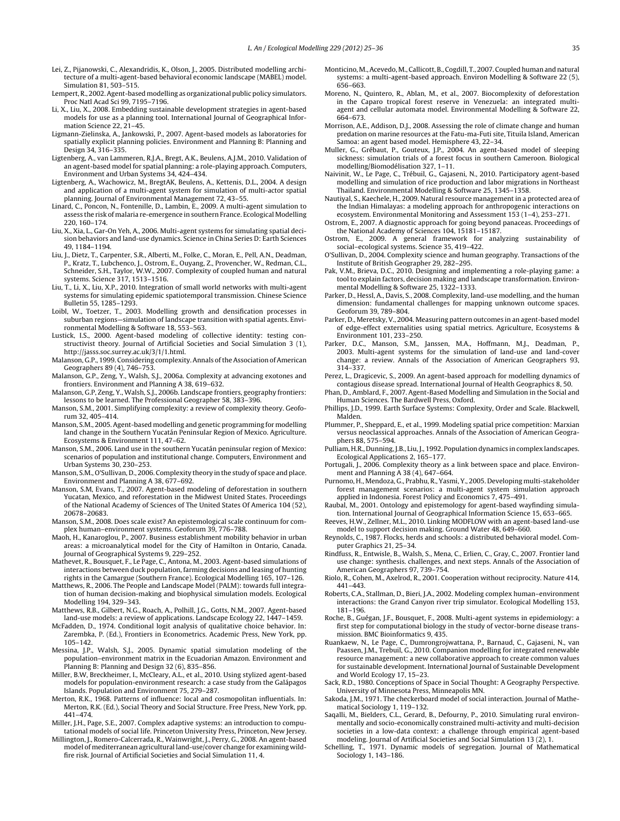- <span id="page-10-0"></span>Lei, Z., Pijanowski, C., Alexandridis, K., Olson, J., 2005. Distributed modelling architecture of a multi-agent-based behavioral economic landscape (MABEL) model. Simulation 81, 503–515.
- Lempert, R., 2002.Agent-based modelling as organizational public policy simulators. Proc Natl Acad Sci 99, 7195–7196.
- Li, X., Liu, X., 2008. Embedding sustainable development strategies in agent-based models for use as a planning tool. International Journal of Geographical Information Science 22, 21–45.
- Ligmann-Zielinska, A., Jankowski, P., 2007. Agent-based models as laboratories for spatially explicit planning policies. Environment and Planning B: Planning and Design 34, 316–335.
- Ligtenberg, A., van Lammeren, R.J.A., Bregt, A.K., Beulens, A.J.M., 2010. Validation of an agent-based model for spatial planning: a role-playing approach. Computers, Environment and Urban Systems 34, 424–434.
- Ligtenberg, A., Wachowicz, M., BregtAK, Beulens, A., Kettenis, D.L., 2004. A design and application of a multi-agent system for simulation of multi-actor spatial planning. Journal of Environmental Management 72, 43–55.
- Linard, C., Poncon, N., Fontenille, D., Lambin, E., 2009. A multi-agent simulation to assess the risk of malaria re-emergence in southern France. Ecological Modelling 220, 160–174.
- Liu, X., Xia, L., Gar-On Yeh, A., 2006. Multi-agent systems for simulating spatial decision behaviors and land-use dynamics. Science in China Series D: Earth Sciences 49, 1184–1194.
- Liu, J., Dietz, T., Carpenter, S.R., Alberti, M., Folke, C., Moran, E., Pell, A.N., Deadman, P., Kratz, T., Lubchenco, J., Ostrom, E., Ouyang, Z., Provencher, W., Redman, C.L., Schneider, S.H., Taylor, W.W., 2007. Complexity of coupled human and natural systems. Science 317, 1513–1516.
- Liu, T., Li, X., Liu, X.P., 2010. Integration of small world networks with multi-agent systems for simulating epidemic spatiotemporal transmission. Chinese Science Bulletin 55, 1285–1293.
- Loibl, W., Toetzer, T., 2003. Modelling growth and densification processes in suburban regions—simulation of landscape transition with spatial agents. Environmental Modelling & Software 18, 553–563.
- Lustick, I.S., 2000. Agent-based modeling of collective identity: testing constructivist theory. Journal of Artificial Societies and Social Simulation 3 (1), http://jasss.soc.surrey.ac.uk/3/1/1.html.
- Malanson, G.P., 1999. Considering complexity. Annals ofthe Association of American Geographers 89 (4), 746–753.
- Malanson, G.P., Zeng, Y., Walsh, S.J., 2006a. Complexity at advancing exotones and frontiers. Environment and Planning A 38, 619–632.
- Malanson, G.P, Zeng, Y., Walsh, S.J., 2006b. Landscape frontiers, geography frontiers: lessons to be learned. The Professional Geographer 58, 383–396.
- Manson, S.M., 2001. Simplifying complexity: a review of complexity theory. Geoforum 32, 405–414.
- Manson, S.M., 2005.Agent-based modelling and genetic programming for modelling land change in the Southern Yucatán Peninsular Region of Mexico. Agriculture. Ecosystems & Environment 111, 47–62.
- Manson, S.M., 2006. Land use in the southern Yucatán peninsular region of Mexico: scenarios of population and institutional change. Computers, Environment and Urban Systems 30, 230–253.
- Manson, S.M., O'Sullivan, D., 2006. Complexity theory in the study of space and place. Environment and Planning A 38, 677–692.
- Manson, S.M, Evans, T., 2007. Agent-based modeling of deforestation in southern Yucatan, Mexico, and reforestation in the Midwest United States. Proceedings of the National Academy of Sciences of The United States Of America 104 (52), 20678–20683.
- Manson, S.M., 2008. Does scale exist? An epistemological scale continuum for complex human–environment systems. Geoforum 39, 776–788.
- Maoh, H., Kanaroglou, P., 2007. Business establishment mobility behavior in urban areas: a microanalytical model for the City of Hamilton in Ontario, Canada. Journal of Geographical Systems 9, 229–252.
- Mathevet, R., Bousquet, F., Le Page, C., Antona, M., 2003. Agent-based simulations of interactions between duck population, farming decisions and leasing of hunting rights in the Camargue (Southern France). Ecological Modelling 165, 107–126.
- Matthews, R., 2006. The People and Landscape Model (PALM): towards full integration of human decision-making and biophysical simulation models. Ecological Modelling 194, 329–343.
- Matthews, R.B., Gilbert, N.G., Roach, A., Polhill, J.G., Gotts, N.M., 2007. Agent-based land-use models: a review of applications. Landscape Ecology 22, 1447–1459.
- McFadden, D., 1974. Conditional logit analysis of qualitative choice behavior. In: Zarembka, P. (Ed.), Frontiers in Econometrics. Academic Press, New York, pp. 105–142.
- Messina, J.P., Walsh, S.J., 2005. Dynamic spatial simulation modeling of the population–environment matrix in the Ecuadorian Amazon. Environment and Planning B: Planning and Design 32 (6), 835–856.
- Miller, B.W, Breckheimer, I., McCleary, A.L., et al., 2010. Using stylized agent-based models for population-environment research: a case study from the Galápagos Islands. Population and Environment 75, 279–287.
- Merton, R.K., 1968. Patterns of influence: local and cosmopolitan influentials. In: Merton, R.K. (Ed.), Social Theory and Social Structure. Free Press, New York, pp. 441–474.
- Miller, J.H., Page, S.E., 2007. Complex adaptive systems: an introduction to computational models of social life. Princeton University Press, Princeton, New Jersey.
- Millington, J., Romero-Calcerrada, R., Wainwright, J., Perry, G., 2008. An agent-based model of mediterranean agricultural land-use/cover change for examining wildfire risk. Journal of Artificial Societies and Social Simulation 11, 4.
- Monticino,M.,Acevedo,M., Callicott, B., Cogdill, T., 2007. Coupled human and natural systems: a multi-agent-based approach. Environ Modelling & Software 22 (5), 656–663.
- Moreno, N., Quintero, R., Ablan, M., et al., 2007. Biocomplexity of deforestation in the Caparo tropical forest reserve in Venezuela: an integrated multiagent and cellular automata model. Environmental Modelling & Software 22, 664–673.
- Morrison, A.E., Addison, D.J., 2008. Assessing the role of climate change and human predation on marine resources at the Fatu-ma-Futi site, Tituila Island, American Samoa: an agent based model. Hemisphere 43, 22–34.
- Muller, G., Grébaut, P., Gouteux, J.P., 2004. An agent-based model of sleeping sickness: simulation trials of a forest focus in southern Cameroon. Biological modelling/Biomodélisation 327, 1–11.
- Naivinit, W., Le Page, C., Trébuil, G., Gajaseni, N., 2010. Participatory agent-based modelling and simulation of rice production and labor migrations in Northeast Thailand. Environmental Modelling & Software 25, 1345–1358.
- Nautiyal, S., Kaechele, H., 2009. Natural resource management in a protected area of the Indian Himalayas: a modeling approach for anthropogenic interactions on ecosystem. Environmental Monitoring and Assessment 153 (1–4), 253–271.
- Ostrom, E., 2007. A diagnostic approach for going beyond panaceas. Proceedings of the National Academy of Sciences 104, 15181–15187.
- Ostrom, E., 2009. A general framework for analyzing sustainability of social–ecological systems. Science 35, 419–422.
- O'Sullivan, D., 2004. Complexity science and human geography. Transactions of the Institute of British Geographer 29, 282–295.
- Pak, V.M., Brieva, D.C., 2010. Designing and implementing a role-playing game: a tool to explain factors, decision making and landscape transformation. Environmental Modelling & Software 25, 1322–1333.
- Parker, D., Hessl, A., Davis, S., 2008. Complexity, land-use modelling, and the human dimension: fundamental challenges for mapping unknown outcome spaces. Geoforum 39, 789–804.
- Parker, D., Meretsky, V., 2004. Measuring pattern outcomes in an agent-based model of edge-effect externalities using spatial metrics. Agriculture, Ecosystems & Environment 101, 233–250.
- Parker, D.C., Manson, S.M., Janssen, M.A., Hoffmann, M.J., Deadman, P., 2003. Multi-agent systems for the simulation of land-use and land-cover change: a review. Annals of the Association of American Geographers 93, 314–337.
- Perez, L., Dragicevic, S., 2009. An agent-based approach for modelling dynamics of contagious disease spread. International Journal of Health Geographics 8, 50.
- Phan, D., Amblard, F., 2007. Agent-Based Modelling and Simulation in the Social and Human Sciences. The Bardwell Press, Oxford.
- Phillips, J.D., 1999. Earth Surface Systems: Complexity, Order and Scale. Blackwell, Malden.
- Plummer, P., Sheppard, E., et al., 1999. Modeling spatial price competition: Marxian versus neoclassical approaches. Annals of the Association of American Geographers 88, 575–594.
- Pulliam, H.R., Dunning, J.B., Liu, J., 1992. Population dynamics in complex landscapes. Ecological Applications 2, 165–177.
- Portugali, J., 2006. Complexity theory as a link between space and place. Environment and Planning A 38 (4), 647–664.
- Purnomo, H., Mendoza, G., Prabhu, R., Yasmi, Y., 2005. Developing multi-stakeholder forest management scenarios: a multi-agent system simulation approach applied in Indonesia. Forest Policy and Economics 7, 475–491.
- Raubal, M., 2001. Ontology and epistemology for agent-based wayfinding simulation. International Journal of Geographical Information Science 15, 653–665.
- Reeves, H.W., Zellner, M.L., 2010. Linking MODFLOW with an agent-based land-use model to support decision making. Ground Water 48, 649–660.
- Reynolds, C., 1987. Flocks, herds and schools: a distributed behavioral model. Computer Graphics 21, 25–34.
- Rindfuss, R., Entwisle, B., Walsh, S., Mena, C., Erlien, C., Gray, C., 2007. Frontier land use change: synthesis. challenges, and next steps. Annals of the Association of American Geographers 97, 739–754.
- Riolo, R., Cohen, M., Axelrod, R., 2001. Cooperation without reciprocity. Nature 414, 441–443.
- Roberts, C.A., Stallman, D., Bieri, J.A., 2002. Modeling complex human–environment interactions: the Grand Canyon river trip simulator. Ecological Modelling 153, 181–196.
- Roche, B., Guégan, J.F., Bousquet, F., 2008. Multi-agent systems in epidemiology: a first step for computational biology in the study of vector-borne disease transmission. BMC Bioinformatics 9, 435.
- Ruankaew, N., Le Page, C., Dumrongrojwattana, P., Barnaud, C., Gajaseni, N., van Paassen, J.M., Trebuil, G., 2010. Companion modelling for integrated renewable resource management: a new collaborative approach to create common values for sustainable development. International Journal of Sustainable Development and World Ecology 17, 15–23.
- Sack, R.D., 1980. Conceptions of Space in Social Thought: A Geography Perspective. University of Minnesota Press, Minneapolis MN.
- Sakoda, J.M., 1971. The checkerboard model of social interaction. Journal of Mathematical Sociology 1, 119–132.
- Saqalli, M., Bielders, C.L., Gerard, B., Defourny, P., 2010. Simulating rural environmentally and socio-economically constrained multi-activity and multi-decision societies in a low-data context: a challenge through empirical agent-based modeling. Journal of Artificial Societies and Social Simulation 13 (2), 1.
- Schelling, T., 1971. Dynamic models of segregation. Journal of Mathematical Sociology 1, 143–186.